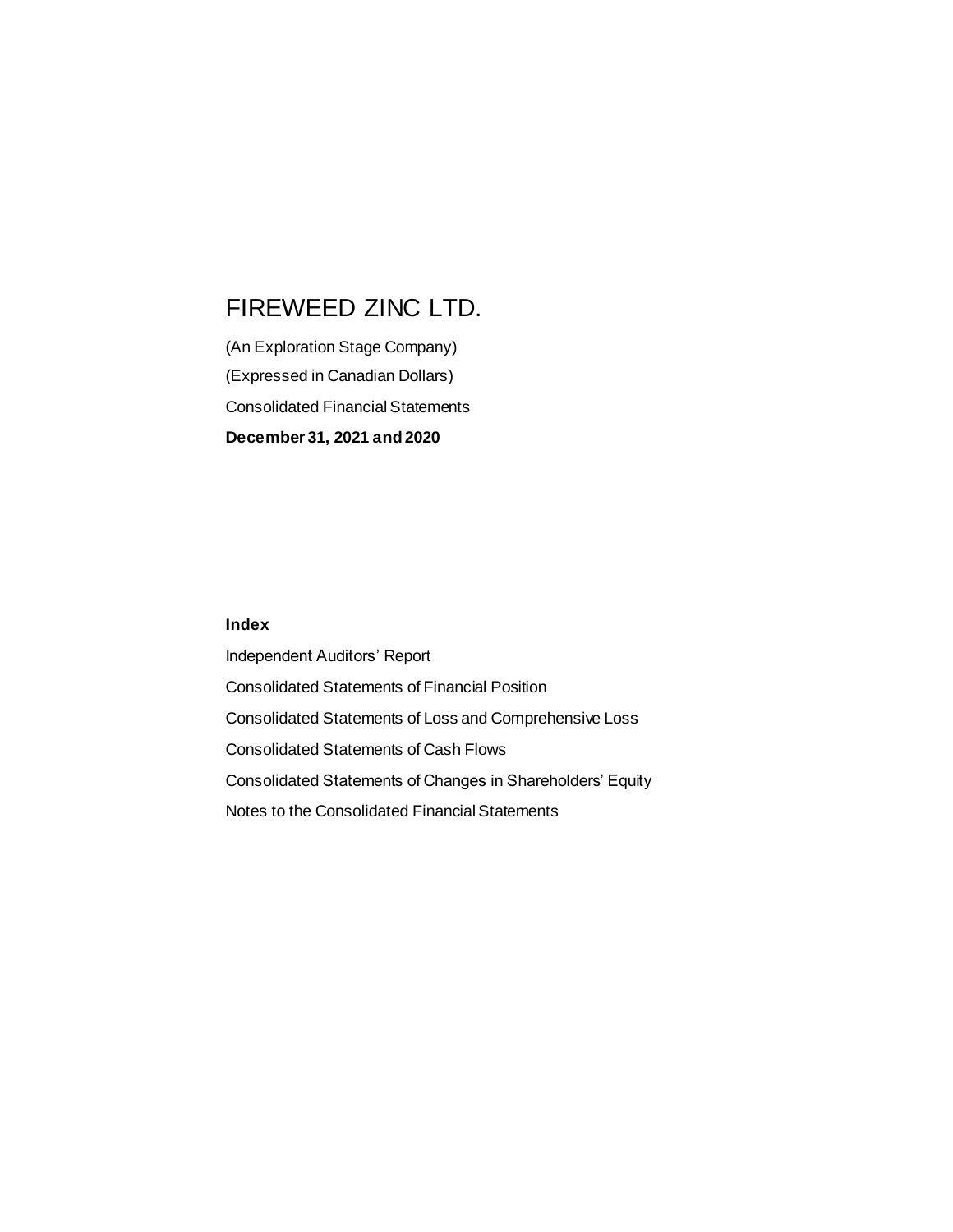(An Exploration Stage Company) (Expressed in Canadian Dollars) Consolidated Financial Statements **December 31, 2021 and 2020**

# **Index**

Independent Auditors' Report Consolidated Statements of Financial Position Consolidated Statements of Loss and Comprehensive Loss Consolidated Statements of Cash Flows Consolidated Statements of Changes in Shareholders' Equity Notes to the Consolidated Financial Statements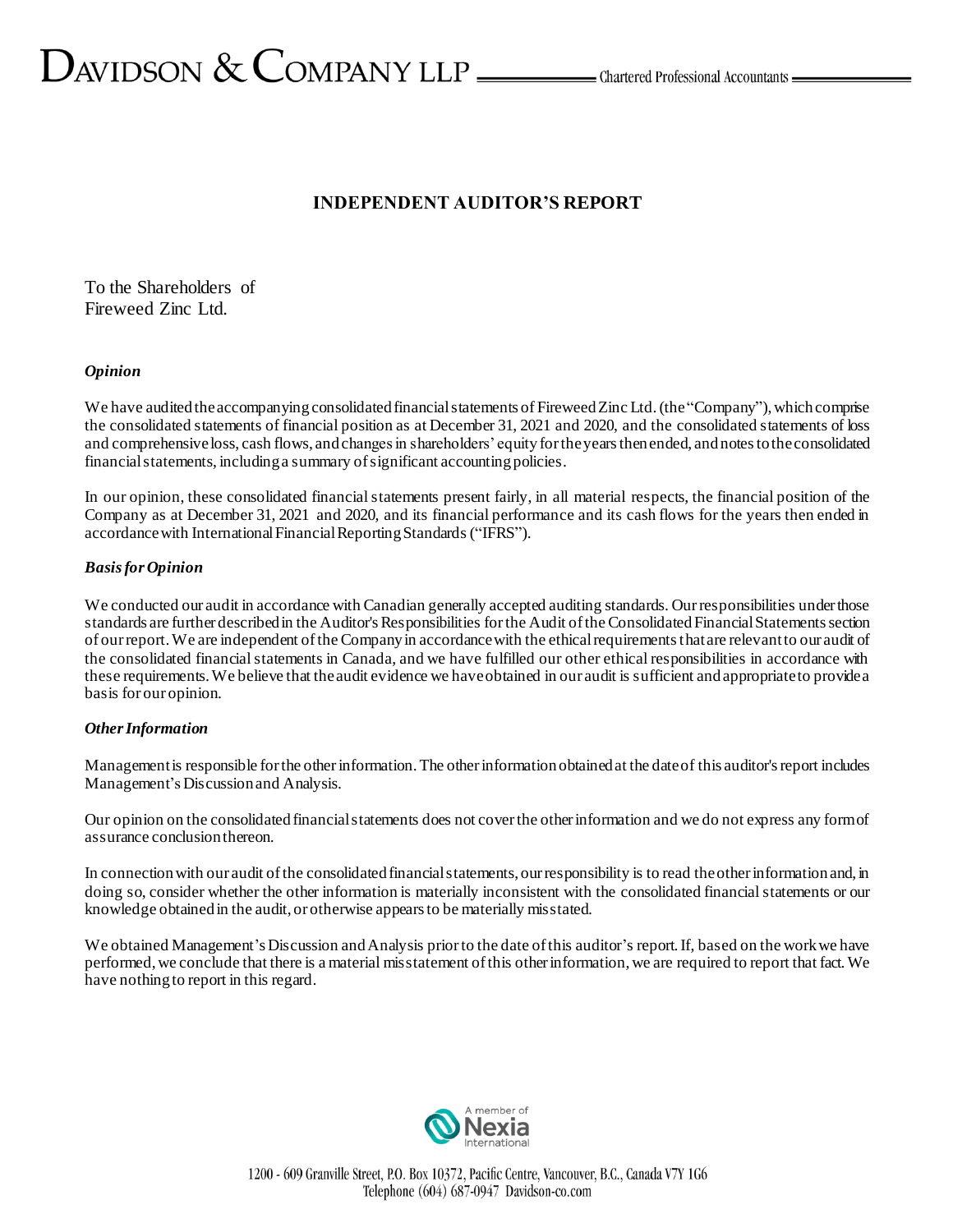# **INDEPENDENT AUDITOR'S REPORT**

To the Shareholders of Fireweed Zinc Ltd.

# *Opinion*

We have audited the accompanying consolidated financial statements of Fireweed Zinc Ltd. (the "Company"), which comprise the consolidated statements of financial position as at December 31, 2021 and 2020, and the consolidated statements of loss and comprehensive loss, cash flows, and changes in shareholders' equity for the years then ended, and notes to the consolidated financial statements, including a summary of significant accounting policies.

In our opinion, these consolidated financial statements present fairly, in all material respects, the financial position of the Company as at December 31, 2021 and 2020, and its financial performance and its cash flows for the years then ended in accordance with International Financial Reporting Standards ("IFRS").

# *Basis for Opinion*

We conducted our audit in accordance with Canadian generally accepted auditing standards. Our responsibilities under those standards are further described in the Auditor's Responsibilities for the Audit of the Consolidated Financial Statements section of our report. We are independent of the Company in accordance with the ethical requirements that are relevant to our audit of the consolidated financial statements in Canada, and we have fulfilled our other ethical responsibilities in accordance with these requirements. We believe that the audit evidence we have obtained in our audit is sufficient and appropriate to provide a basis for our opinion.

#### *Other Information*

Management is responsible for the other information. The other information obtained at the date of this auditor's report includes Management's Discussion and Analysis.

Our opinion on the consolidated financial statements does not cover the other information and we do not express any form of assurance conclusion thereon.

In connection with our audit of the consolidated financial statements, our responsibility is to read the other information and, in doing so, consider whether the other information is materially inconsistent with the consolidated financial statements or our knowledge obtained in the audit, or otherwise appears to be materially misstated.

We obtained Management's Discussion and Analysis prior to the date of this auditor's report.If, based on the work we have performed, we conclude that there is a material misstatement of this other information, we are required to report that fact. We have nothing to report in this regard.

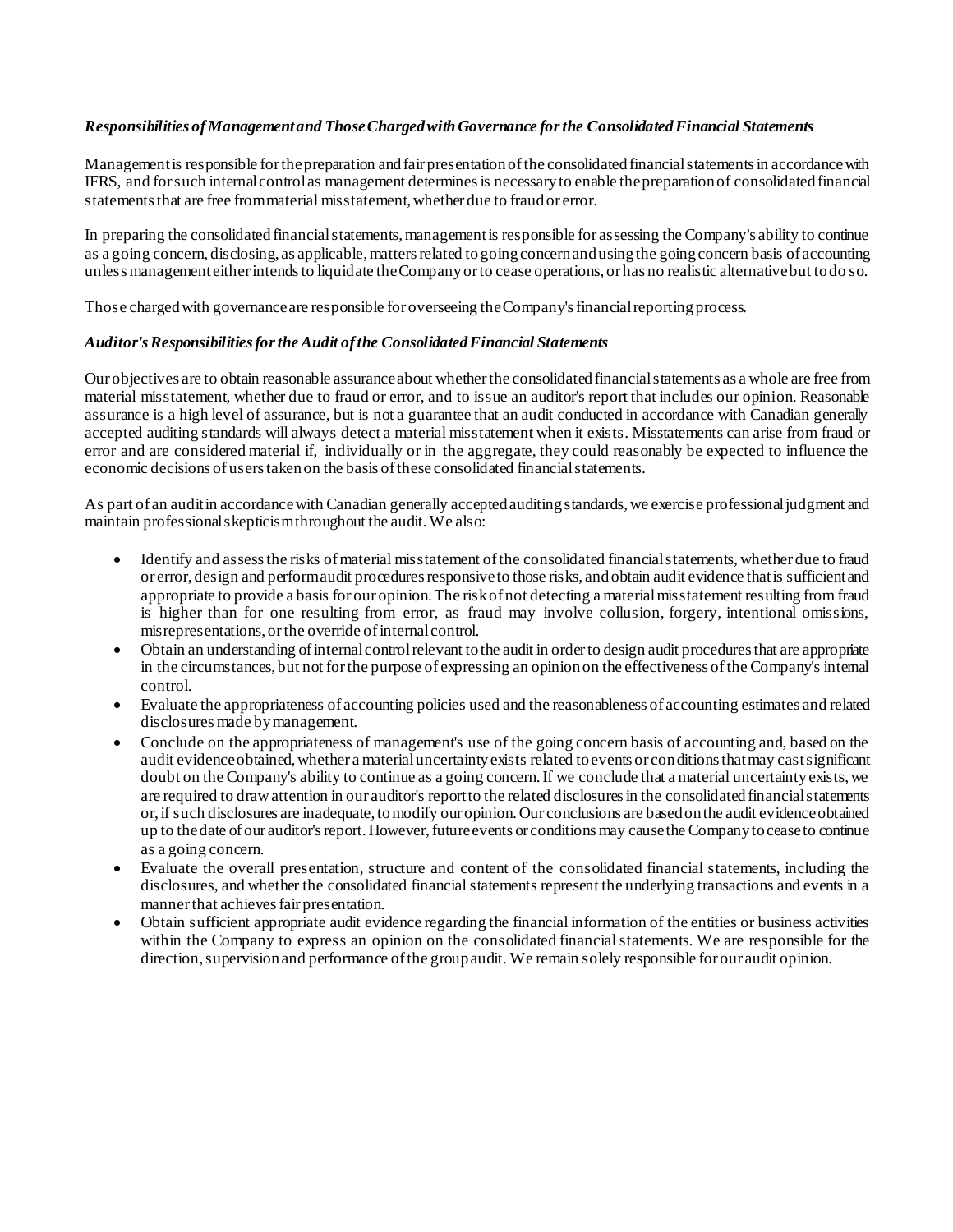# *Responsibilities of Management and Those Charged with Governance for the Consolidated Financial Statements*

Management is responsible for the preparation and fair presentation of the consolidated financial statements in accordance with IFRS, and for such internal control as management determines is necessary to enable the preparation of consolidated financial statements that are free from material misstatement, whether due to fraud or error.

In preparing the consolidated financial statements, management is responsible for assessing the Company's ability to continue as a going concern, disclosing, as applicable, matters related to going concern and using the going concern basis of accounting unless management either intends to liquidate the Company or to cease operations, or has no realistic alternative but to do so.

Those charged with governance are responsible for overseeing the Company's financial reporting process.

#### *Auditor's Responsibilities for the Audit of the Consolidated Financial Statements*

Our objectives are to obtain reasonable assurance about whether the consolidated financial statements as a whole are free from material misstatement, whether due to fraud or error, and to issue an auditor's report that includes our opinion. Reasonable assurance is a high level of assurance, but is not a guarantee that an audit conducted in accordance with Canadian generally accepted auditing standards will always detect a material misstatement when it exists. Misstatements can arise from fraud or error and are considered material if, individually or in the aggregate, they could reasonably be expected to influence the economic decisions of users taken on the basis of these consolidated financial statements.

As part of an audit in accordance with Canadian generally accepted auditing standards, we exercise professional judgment and maintain professional skepticism throughout the audit. We also:

- Identify and assess the risks of material misstatement of the consolidated financial statements, whether due to fraud or error, design and perform audit procedures responsive to those risks, and obtain audit evidence that is sufficient and appropriate to provide a basis for our opinion. The risk of not detecting a material misstatement resulting from fraud is higher than for one resulting from error, as fraud may involve collusion, forgery, intentional omissions, misrepresentations, or the override of internal control.
- Obtain an understanding of internal control relevant to the audit in order to design audit procedures that are appropriate in the circumstances, but not for the purpose of expressing an opinion on the effectiveness of the Company's internal control.
- Evaluate the appropriateness of accounting policies used and the reasonableness of accounting estimates and related disclosures made by management.
- Conclude on the appropriateness of management's use of the going concern basis of accounting and, based on the audit evidence obtained, whether a material uncertainty exists related to events or conditions that may cast significant doubt on the Company's ability to continue as a going concern. If we conclude that a material uncertainty exists, we are required to draw attention in our auditor's report to the related disclosures in the consolidated financial statements or, if such disclosures are inadequate, to modify our opinion. Our conclusions are based on the audit evidence obtained up to the date of our auditor's report. However, future events or conditions may cause the Company to cease to continue as a going concern.
- Evaluate the overall presentation, structure and content of the consolidated financial statements, including the disclosures, and whether the consolidated financial statements represent the underlying transactions and events in a manner that achieves fair presentation.
- Obtain sufficient appropriate audit evidence regarding the financial information of the entities or business activities within the Company to express an opinion on the consolidated financial statements. We are responsible for the direction, supervision and performance of the group audit. We remain solely responsible for our audit opinion.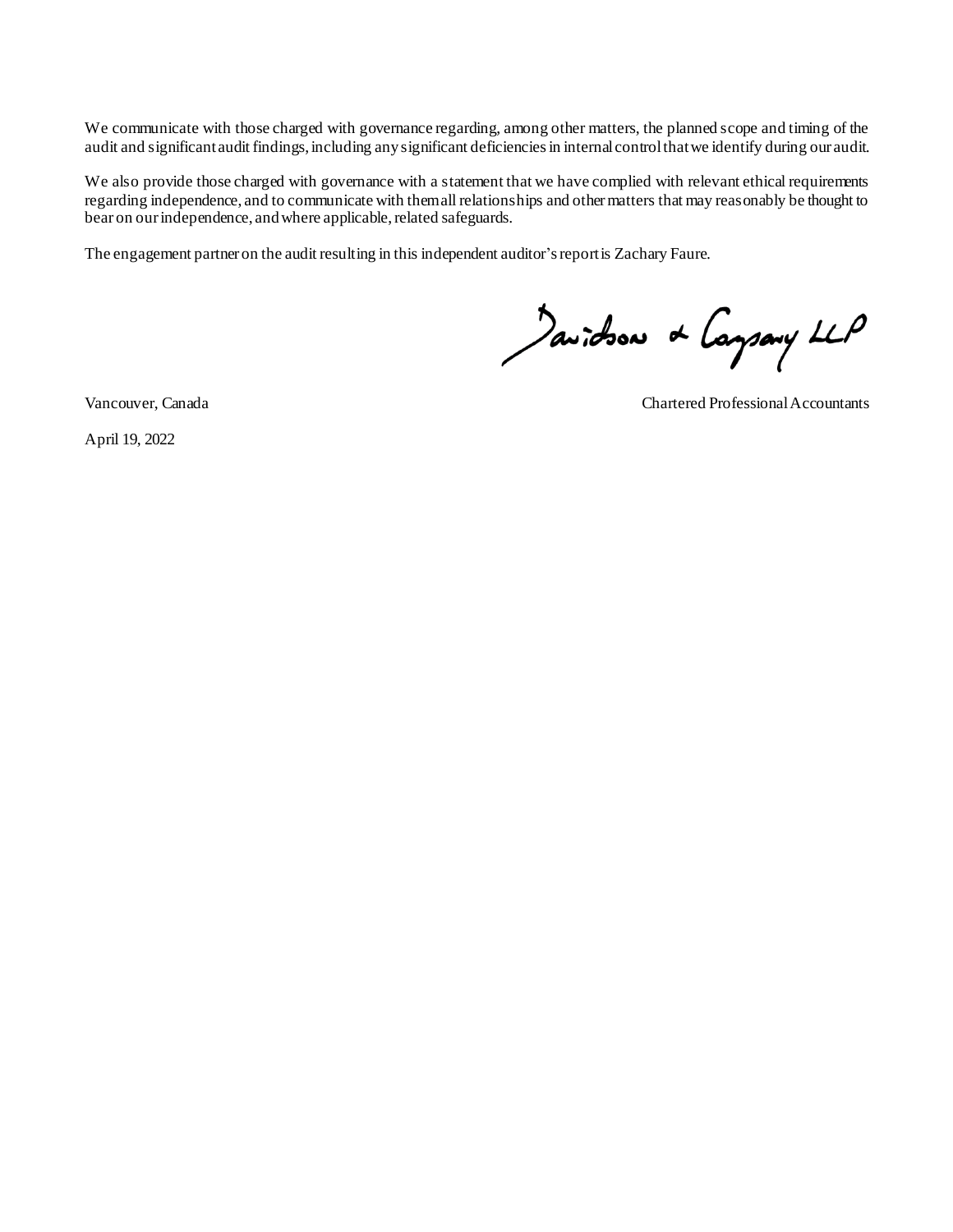We communicate with those charged with governance regarding, among other matters, the planned scope and timing of the audit and significant audit findings, including any significant deficiencies in internal control that we identify during our audit.

We also provide those charged with governance with a statement that we have complied with relevant ethical requirements regarding independence, and to communicate with them all relationships and other matters that may reasonably be thought to bear on our independence, and where applicable, related safeguards.

The engagement partner on the audit resulting in this independent auditor's report is Zachary Faure.

Javidson & Caysary LLP

April 19, 2022

Vancouver, Canada Chartered Professional Accountants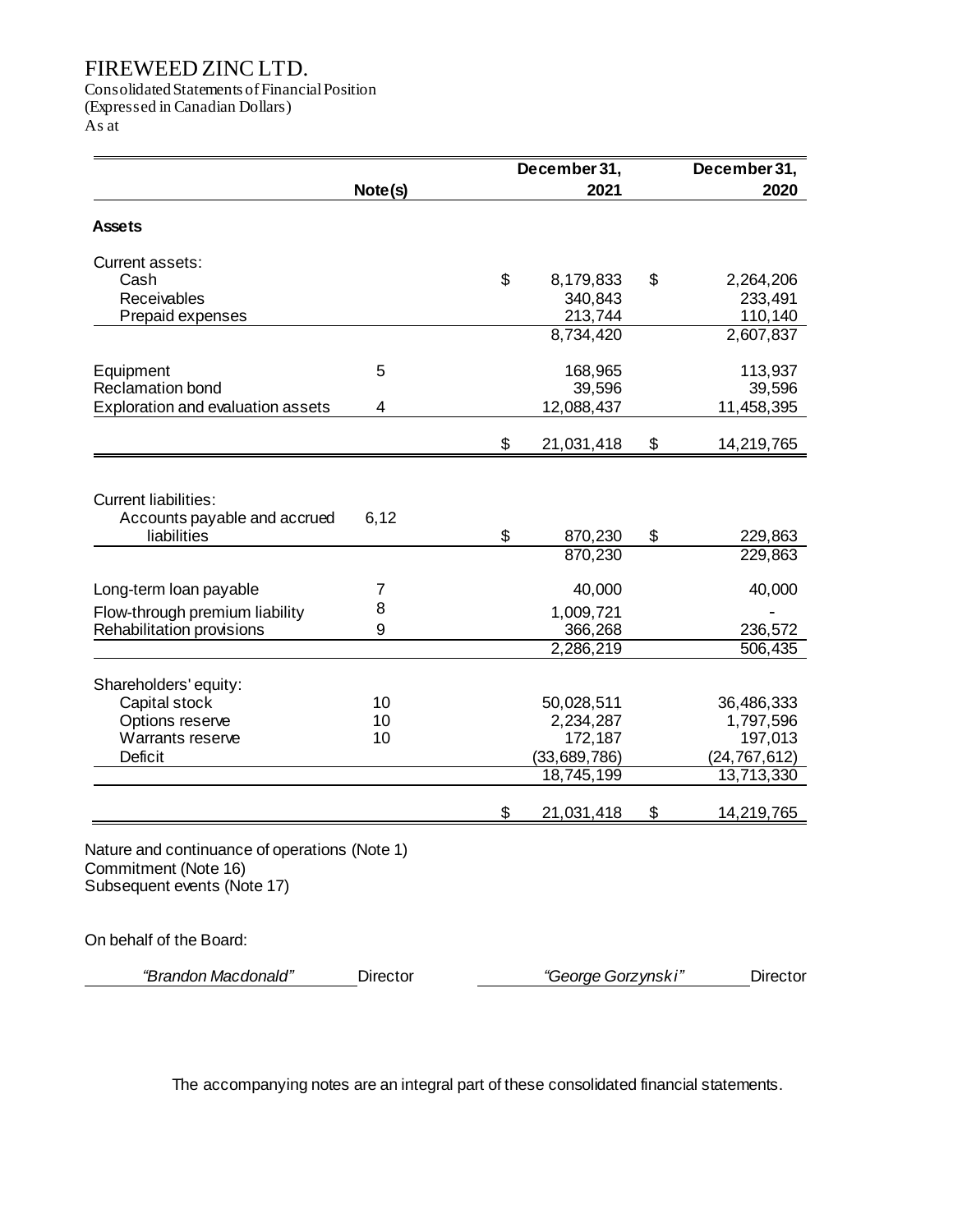Consolidated Statements of Financial Position (Expressed in Canadian Dollars)

As at

|                                                                                                      |                 | December 31,       | December 31,     |
|------------------------------------------------------------------------------------------------------|-----------------|--------------------|------------------|
|                                                                                                      | Note(s)         | 2021               | 2020             |
| <b>Assets</b>                                                                                        |                 |                    |                  |
| Current assets:                                                                                      |                 |                    |                  |
| Cash                                                                                                 |                 | \$<br>8,179,833    | \$<br>2,264,206  |
| Receivables                                                                                          |                 | 340,843            | 233,491          |
| Prepaid expenses                                                                                     |                 | 213,744            | 110,140          |
|                                                                                                      |                 | 8,734,420          | 2,607,837        |
| Equipment                                                                                            | 5               | 168,965            | 113,937          |
| <b>Reclamation bond</b>                                                                              |                 | 39,596             | 39,596           |
| Exploration and evaluation assets                                                                    | 4               | 12,088,437         | 11,458,395       |
|                                                                                                      |                 | \$<br>21,031,418   | \$<br>14,219,765 |
| <b>Current liabilities:</b><br>Accounts payable and accrued                                          | 6,12            |                    |                  |
| liabilities                                                                                          |                 | \$<br>870,230      | \$<br>229,863    |
|                                                                                                      |                 | 870,230            | 229,863          |
| Long-term loan payable                                                                               | 7               | 40,000             | 40,000           |
| Flow-through premium liability                                                                       | 8               | 1,009,721          |                  |
| Rehabilitation provisions                                                                            | 9               | 366,268            | 236,572          |
|                                                                                                      |                 | 2,286,219          | 506,435          |
| Shareholders' equity:                                                                                |                 |                    |                  |
| Capital stock                                                                                        | 10              | 50,028,511         | 36,486,333       |
| Options reserve                                                                                      | 10              | 2,234,287          | 1,797,596        |
| Warrants reserve                                                                                     | 10              | 172,187            | 197,013          |
| <b>Deficit</b>                                                                                       |                 | (33, 689, 786)     | (24, 767, 612)   |
|                                                                                                      |                 | 18,745,199         | 13,713,330       |
|                                                                                                      |                 | \$<br>21,031,418   | \$<br>14,219,765 |
| Nature and continuance of operations (Note 1)<br>Commitment (Note 16)<br>Subsequent events (Note 17) |                 |                    |                  |
| On behalf of the Board:                                                                              |                 |                    |                  |
| "Brandon Macdonald"                                                                                  | <b>Director</b> | "George Gorzynski" | Director         |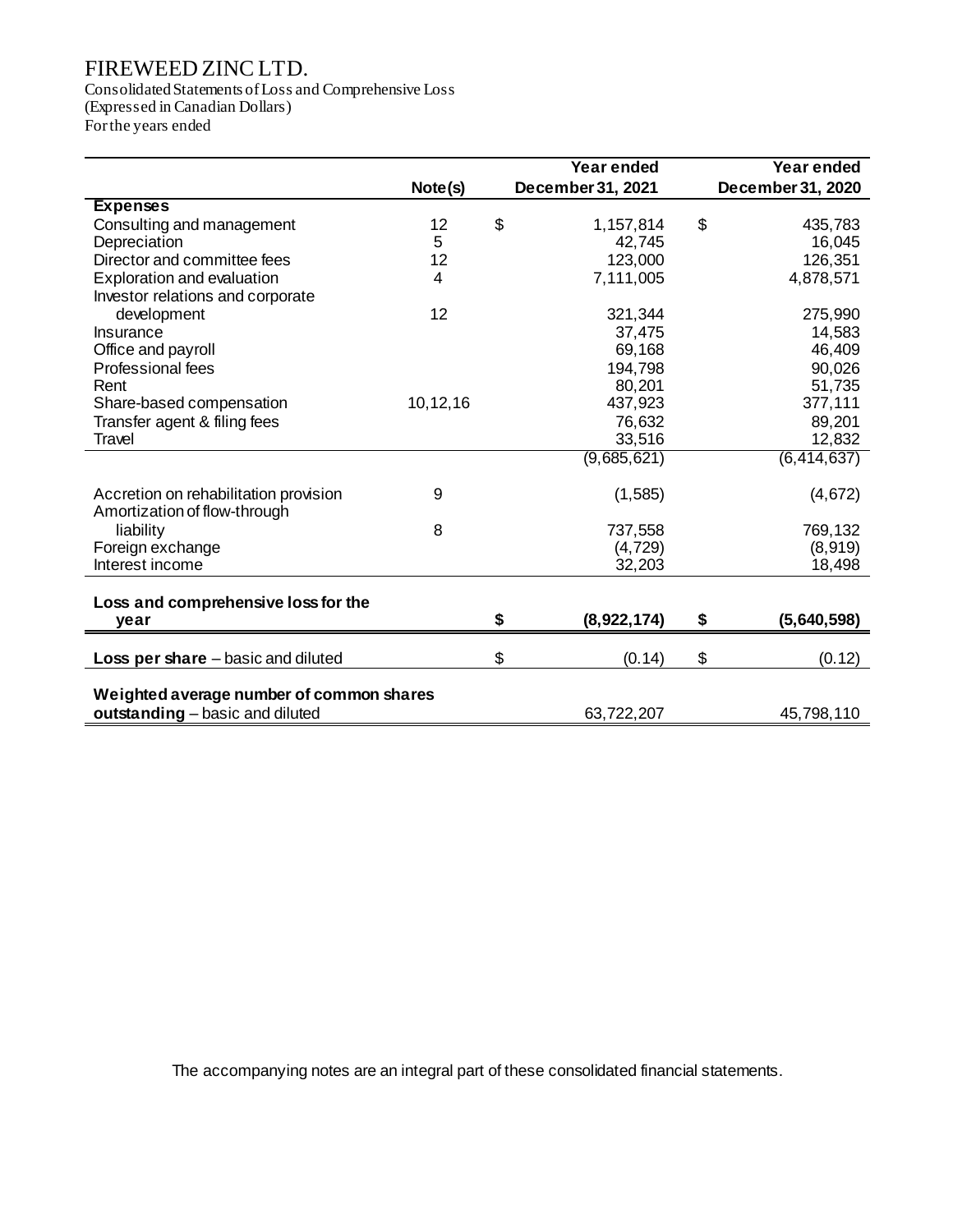Consolidated Statements of Loss and Comprehensive Loss (Expressed in Canadian Dollars)

For the years ended

|                                                                             | Note(s)  | <b>Year ended</b><br>December 31, 2021 | Year ended<br>December 31, 2020 |
|-----------------------------------------------------------------------------|----------|----------------------------------------|---------------------------------|
| <b>Expenses</b>                                                             |          |                                        |                                 |
| Consulting and management<br>Depreciation                                   | 12<br>5  | \$<br>1,157,814<br>42,745              | \$<br>435,783<br>16,045         |
| Director and committee fees                                                 | 12       | 123,000                                | 126,351                         |
| Exploration and evaluation<br>Investor relations and corporate              | 4        | 7,111,005                              | 4,878,571                       |
| development<br>Insurance                                                    | 12       | 321,344<br>37,475                      | 275,990<br>14,583               |
| Office and payroll                                                          |          | 69,168                                 | 46,409                          |
| Professional fees<br>Rent                                                   |          | 194,798<br>80,201                      | 90,026<br>51,735                |
| Share-based compensation                                                    | 10,12,16 | 437,923                                | 377,111                         |
| Transfer agent & filing fees<br>Travel                                      |          | 76,632<br>33,516                       | 89,201<br>12,832                |
|                                                                             |          | (9,685,621)                            | (6, 414, 637)                   |
| Accretion on rehabilitation provision<br>Amortization of flow-through       | 9        | (1, 585)                               | (4,672)                         |
| liability<br>Foreign exchange<br>Interest income                            | 8        | 737,558<br>(4, 729)                    | 769,132<br>(8,919)              |
|                                                                             |          | 32,203                                 | 18,498                          |
| Loss and comprehensive loss for the                                         |          |                                        |                                 |
| year                                                                        |          | \$<br>(8,922,174)                      | \$<br>(5,640,598)               |
| Loss per share - basic and diluted                                          |          | \$<br>(0.14)                           | \$<br>(0.12)                    |
| Weighted average number of common shares<br>outstanding - basic and diluted |          | 63,722,207                             | 45,798,110                      |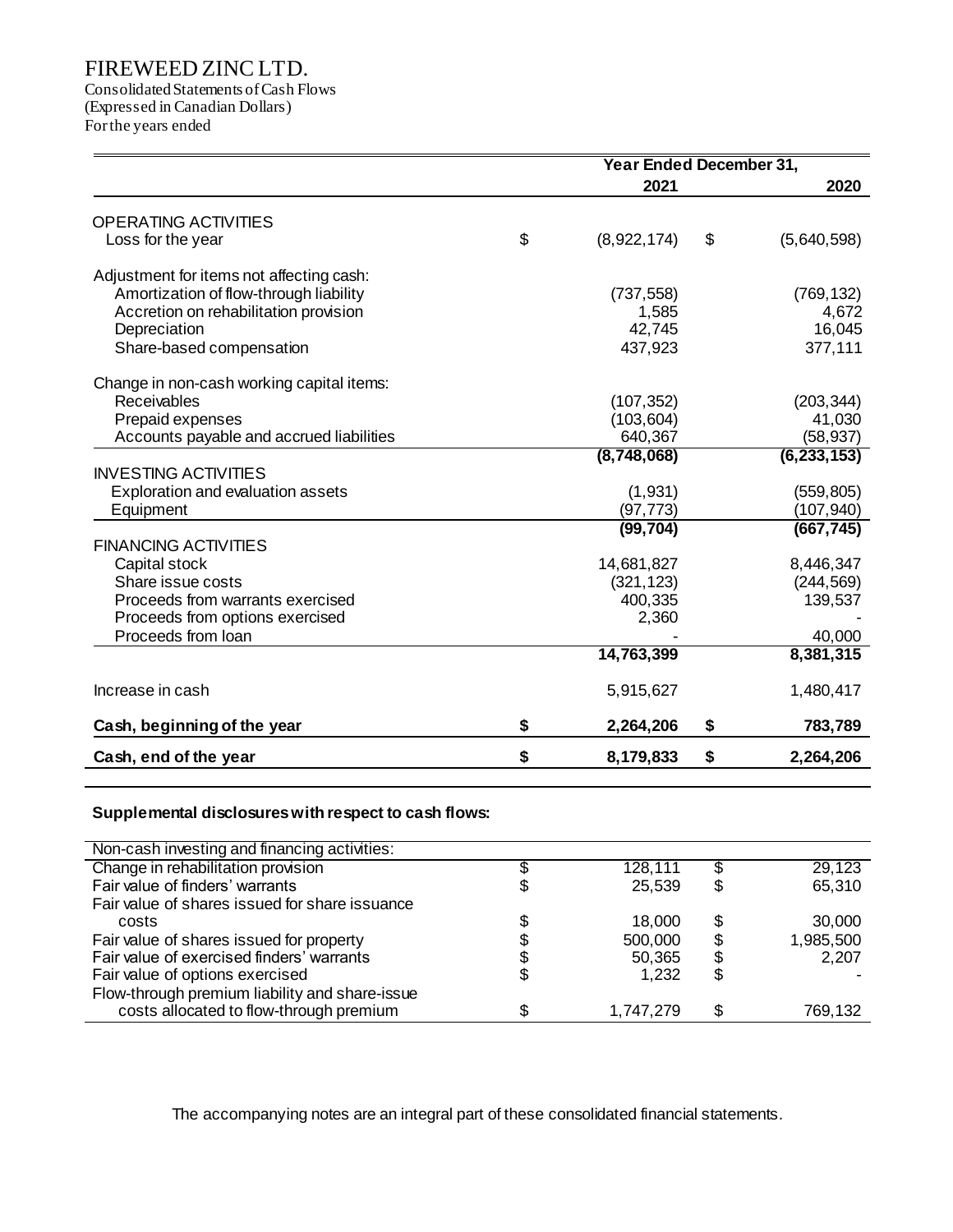Consolidated Statements of Cash Flows (Expressed in Canadian Dollars) For the years ended

|                                           | Year Ended December 31, |             |    |               |  |  |  |
|-------------------------------------------|-------------------------|-------------|----|---------------|--|--|--|
|                                           |                         | 2021        |    | 2020          |  |  |  |
| <b>OPERATING ACTIVITIES</b>               |                         |             |    |               |  |  |  |
| Loss for the year                         | \$                      | (8,922,174) | \$ | (5,640,598)   |  |  |  |
| Adjustment for items not affecting cash:  |                         |             |    |               |  |  |  |
| Amortization of flow-through liability    |                         | (737, 558)  |    | (769, 132)    |  |  |  |
| Accretion on rehabilitation provision     |                         | 1,585       |    | 4,672         |  |  |  |
| Depreciation                              |                         | 42,745      |    | 16,045        |  |  |  |
| Share-based compensation                  |                         | 437,923     |    | 377,111       |  |  |  |
| Change in non-cash working capital items: |                         |             |    |               |  |  |  |
| Receivables                               |                         | (107, 352)  |    | (203, 344)    |  |  |  |
| Prepaid expenses                          |                         | (103, 604)  |    | 41,030        |  |  |  |
| Accounts payable and accrued liabilities  |                         | 640,367     |    | (58, 937)     |  |  |  |
|                                           |                         | (8,748,068) |    | (6, 233, 153) |  |  |  |
| <b>INVESTING ACTIVITIES</b>               |                         |             |    |               |  |  |  |
| Exploration and evaluation assets         |                         | (1,931)     |    | (559, 805)    |  |  |  |
| Equipment                                 |                         | (97, 773)   |    | (107, 940)    |  |  |  |
|                                           |                         | (99, 704)   |    | (667, 745)    |  |  |  |
| <b>FINANCING ACTIVITIES</b>               |                         |             |    |               |  |  |  |
| Capital stock                             |                         | 14,681,827  |    | 8,446,347     |  |  |  |
| Share issue costs                         |                         | (321, 123)  |    | (244, 569)    |  |  |  |
| Proceeds from warrants exercised          |                         | 400,335     |    | 139,537       |  |  |  |
| Proceeds from options exercised           |                         | 2,360       |    |               |  |  |  |
| Proceeds from loan                        |                         |             |    | 40,000        |  |  |  |
|                                           |                         | 14,763,399  |    | 8,381,315     |  |  |  |
| Increase in cash                          |                         | 5,915,627   |    | 1,480,417     |  |  |  |
| Cash, beginning of the year               | \$                      | 2,264,206   | \$ | 783,789       |  |  |  |
| Cash, end of the year                     | \$                      | 8,179,833   | \$ | 2,264,206     |  |  |  |

# **Supplemental disclosures with respect to cash flows:**

| Non-cash investing and financing activities:   |           |                 |
|------------------------------------------------|-----------|-----------------|
| Change in rehabilitation provision             | 128,111   | 29,123          |
| Fair value of finders' warrants                | 25,539    | \$<br>65,310    |
| Fair value of shares issued for share issuance |           |                 |
| costs                                          | 18,000    | \$<br>30,000    |
| Fair value of shares issued for property       | 500,000   | \$<br>1,985,500 |
| Fair value of exercised finders' warrants      | 50,365    | \$<br>2,207     |
| Fair value of options exercised                | 1,232     |                 |
| Flow-through premium liability and share-issue |           |                 |
| costs allocated to flow-through premium        | 1,747,279 | \$<br>769,132   |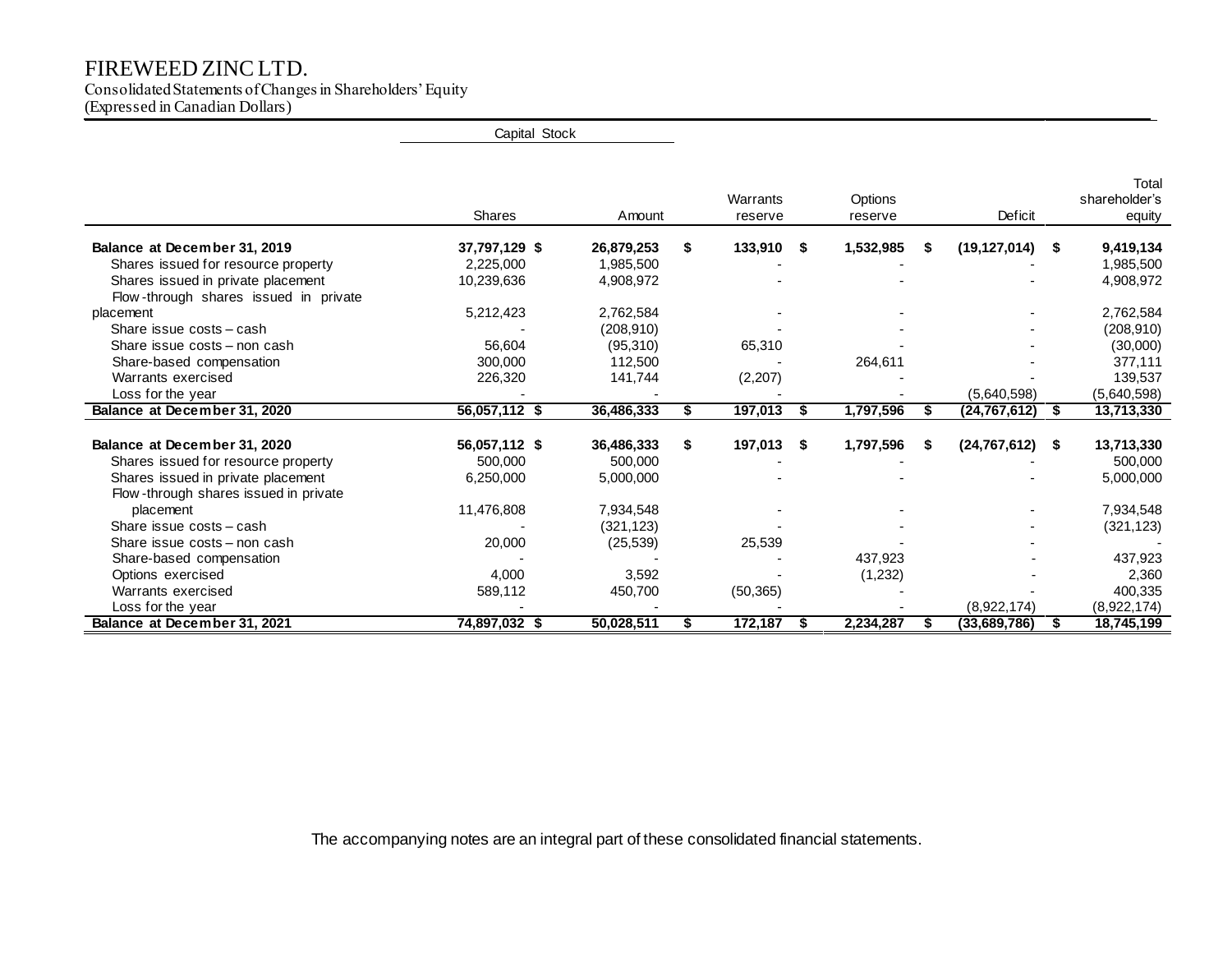Consolidated Statements of Changes in Shareholders' Equity (Expressed in Canadian Dollars)

|                                       |               |            |    |                     |    |                    |   |                |     | Total                   |
|---------------------------------------|---------------|------------|----|---------------------|----|--------------------|---|----------------|-----|-------------------------|
|                                       | Shares        | Amount     |    | Warrants<br>reserve |    | Options<br>reserve |   | Deficit        |     | shareholder's<br>equity |
|                                       |               |            |    |                     |    |                    |   |                |     |                         |
| Balance at December 31, 2019          | 37,797,129 \$ | 26,879,253 | \$ | 133,910             | -S | 1,532,985          | S | (19, 127, 014) | S.  | 9,419,134               |
| Shares issued for resource property   | 2,225,000     | 1,985,500  |    |                     |    |                    |   |                |     | 1,985,500               |
| Shares issued in private placement    | 10,239,636    | 4,908,972  |    |                     |    |                    |   |                |     | 4,908,972               |
| Flow-through shares issued in private |               |            |    |                     |    |                    |   |                |     |                         |
| placement                             | 5,212,423     | 2,762,584  |    |                     |    |                    |   |                |     | 2,762,584               |
| Share issue costs - cash              |               | (208, 910) |    |                     |    |                    |   |                |     | (208, 910)              |
| Share issue costs - non cash          | 56,604        | (95, 310)  |    | 65,310              |    |                    |   |                |     | (30,000)                |
| Share-based compensation              | 300,000       | 112,500    |    |                     |    | 264,611            |   |                |     | 377,111                 |
| Warrants exercised                    | 226,320       | 141,744    |    | (2,207)             |    |                    |   |                |     | 139,537                 |
| Loss for the year                     |               |            |    |                     |    |                    |   | (5,640,598)    |     | (5,640,598)             |
| Balance at December 31, 2020          | 56,057,112 \$ | 36,486,333 | S  | 197,013             | -S | 1,797,596          |   | (24, 767, 612) |     | 13,713,330              |
|                                       |               |            |    |                     |    |                    |   |                |     |                         |
| Balance at December 31, 2020          | 56,057,112 \$ | 36,486,333 | \$ | 197,013             | -S | 1,797,596          | S | (24, 767, 612) | - 5 | 13,713,330              |
| Shares issued for resource property   | 500.000       | 500,000    |    |                     |    |                    |   |                |     | 500,000                 |
| Shares issued in private placement    | 6,250,000     | 5,000,000  |    |                     |    |                    |   |                |     | 5,000,000               |
| Flow-through shares issued in private |               |            |    |                     |    |                    |   |                |     |                         |
| placement                             | 11,476,808    | 7,934,548  |    |                     |    |                    |   |                |     | 7,934,548               |
| Share issue costs - cash              |               | (321, 123) |    |                     |    |                    |   |                |     | (321, 123)              |
| Share issue costs - non cash          | 20,000        | (25, 539)  |    | 25,539              |    |                    |   |                |     |                         |
| Share-based compensation              |               |            |    |                     |    | 437,923            |   |                |     | 437,923                 |
| Options exercised                     | 4,000         | 3,592      |    |                     |    | (1,232)            |   |                |     | 2,360                   |
| Warrants exercised                    | 589,112       | 450,700    |    | (50, 365)           |    |                    |   |                |     | 400,335                 |
| Loss for the year                     |               |            |    |                     |    |                    |   | (8,922,174)    |     | (8,922,174)             |
| Balance at December 31, 2021          | 74.897.032 \$ | 50,028,511 |    | 172,187             |    | 2,234,287          |   | (33,689,786)   |     | 18,745,199              |

Capital Stock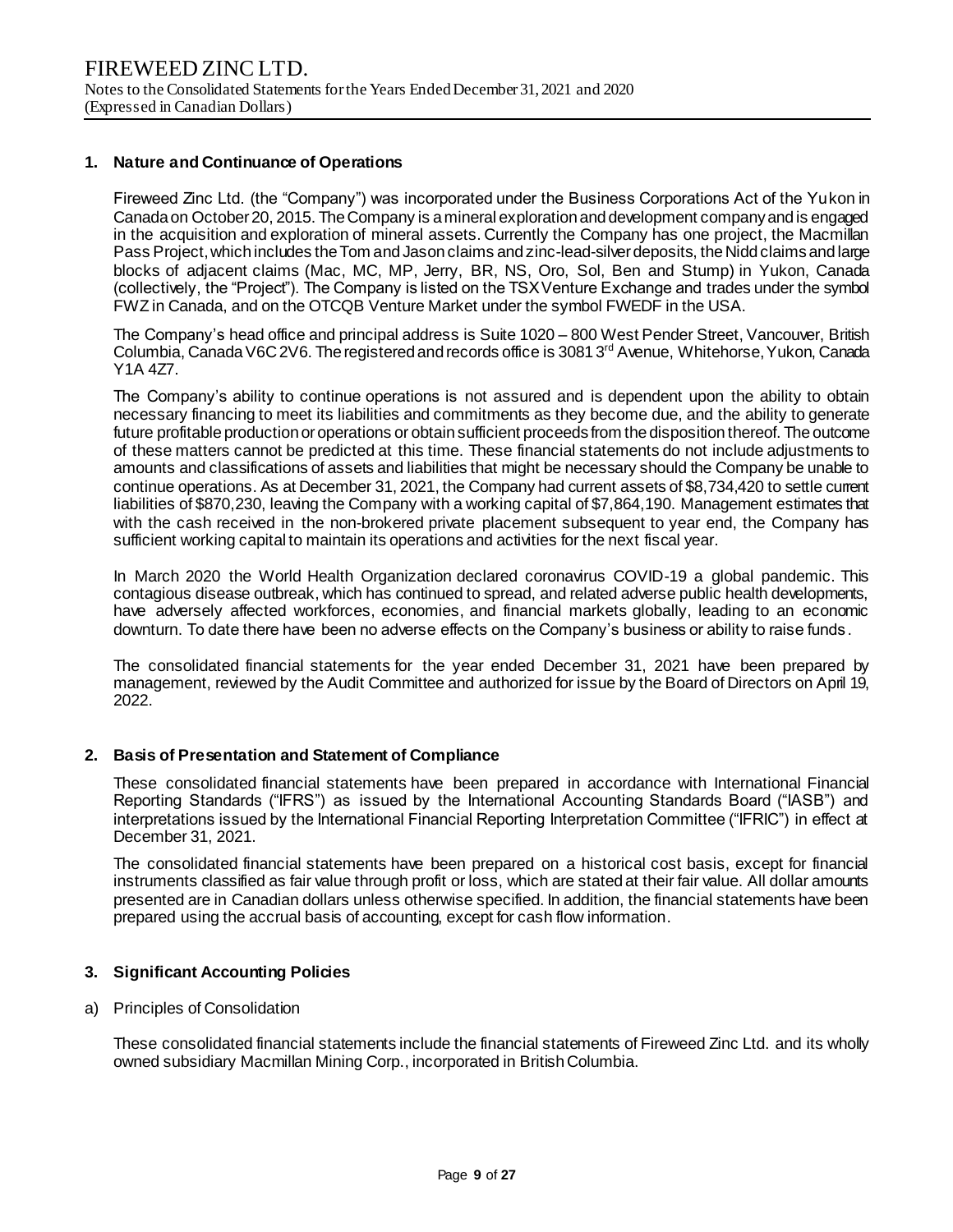# **1. Nature and Continuance of Operations**

Fireweed Zinc Ltd. (the "Company") was incorporated under the Business Corporations Act of the Yukon in Canada on October 20, 2015. The Company is a mineral exploration and development company and is engaged in the acquisition and exploration of mineral assets. Currently the Company has one project, the Macmillan Pass Project, which includes the Tom and Jason claims and zinc-lead-silver deposits, the Nidd claimsand large blocks of adjacent claims (Mac, MC, MP, Jerry, BR, NS, Oro, Sol, Ben and Stump) in Yukon, Canada (collectively, the "Project"). The Company is listed on the TSX Venture Exchange and trades under the symbol FWZ in Canada, and on the OTCQB Venture Market under the symbol FWEDF in the USA.

The Company's head office and principal address is Suite 1020 – 800 West Pender Street, Vancouver, British Columbia, Canada V6C2V6. The registered and records office is 3081 3rd Avenue, Whitehorse, Yukon, Canada Y1A 4Z7.

The Company's ability to continue operations is not assured and is dependent upon the ability to obtain necessary financing to meet its liabilities and commitments as they become due, and the ability to generate future profitable production or operations or obtain sufficient proceeds from the disposition thereof. The outcome of these matters cannot be predicted at this time. These financial statements do not include adjustments to amounts and classifications of assets and liabilities that might be necessary should the Company be unable to continue operations. As at December 31, 2021, the Company had current assets of \$8,734,420 to settle current liabilities of \$870,230, leaving the Company with a working capital of \$7,864,190. Management estimates that with the cash received in the non-brokered private placement subsequent to year end, the Company has sufficient working capital to maintain its operations and activities for the next fiscal year.

In March 2020 the World Health Organization declared coronavirus COVID-19 a global pandemic. This contagious disease outbreak, which has continued to spread, and related adverse public health developments, have adversely affected workforces, economies, and financial markets globally, leading to an economic downturn. To date there have been no adverse effects on the Company's business or ability to raise funds .

The consolidated financial statements for the year ended December 31, 2021 have been prepared by management, reviewed by the Audit Committee and authorized for issue by the Board of Directors on April 19, 2022.

#### **2. Basis of Presentation and Statement of Compliance**

These consolidated financial statements have been prepared in accordance with International Financial Reporting Standards ("IFRS") as issued by the International Accounting Standards Board ("IASB") and interpretations issued by the International Financial Reporting Interpretation Committee ("IFRIC") in effect at December 31, 2021.

The consolidated financial statements have been prepared on a historical cost basis, except for financial instruments classified as fair value through profit or loss, which are stated at their fair value. All dollar amounts presented are in Canadian dollars unless otherwise specified. In addition, the financial statements have been prepared using the accrual basis of accounting, except for cash flow information.

# **3. Significant Accounting Policies**

#### a) Principles of Consolidation

These consolidated financial statements include the financial statements of Fireweed Zinc Ltd. and its wholly owned subsidiary Macmillan Mining Corp., incorporated in British Columbia.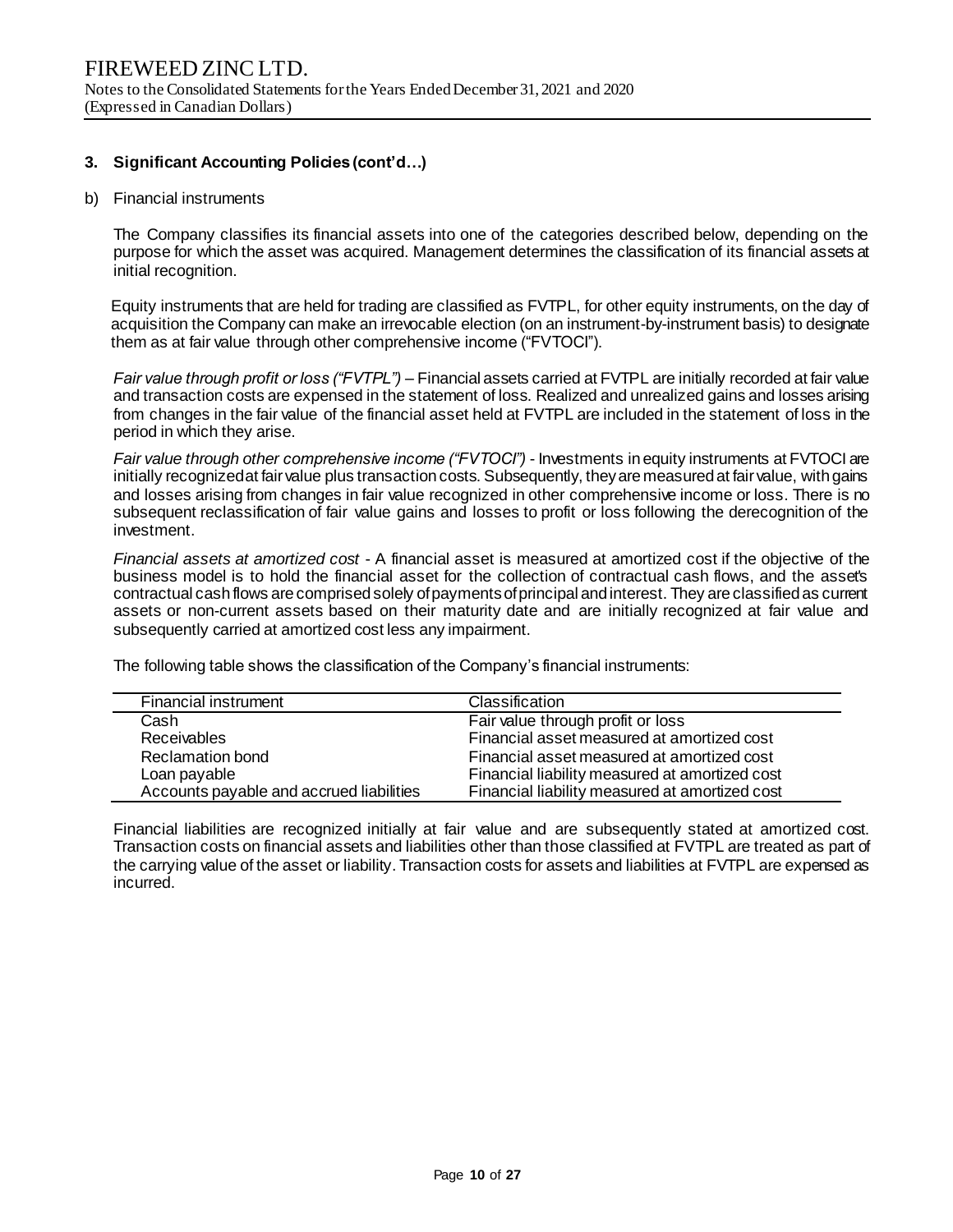#### b) Financial instruments

The Company classifies its financial assets into one of the categories described below, depending on the purpose for which the asset was acquired. Management determines the classification of its financial assets at initial recognition.

Equity instruments that are held for trading are classified as FVTPL, for other equity instruments, on the day of acquisition the Company can make an irrevocable election (on an instrument-by-instrument basis) to designate them as at fair value through other comprehensive income ("FVTOCI").

*Fair value through profit or loss ("FVTPL")* – Financial assets carried at FVTPL are initially recorded at fair value and transaction costs are expensed in the statement of loss. Realized and unrealized gains and losses arising from changes in the fair value of the financial asset held at FVTPL are included in the statement of loss in the period in which they arise.

*Fair value through other comprehensive income ("FVTOCI")* - Investments in equity instruments at FVTOCI are initially recognized at fair value plus transaction costs. Subsequently, they are measured at fair value, with gains and losses arising from changes in fair value recognized in other comprehensive income or loss. There is no subsequent reclassification of fair value gains and losses to profit or loss following the derecognition of the investment.

*Financial assets at amortized cost* - A financial asset is measured at amortized cost if the objective of the business model is to hold the financial asset for the collection of contractual cash flows, and the asset's contractual cash flows are comprised solely of payments of principal and interest. They are classified as current assets or non-current assets based on their maturity date and are initially recognized at fair value and subsequently carried at amortized cost less any impairment.

The following table shows the classification of the Company's financial instruments:

| Financial instrument                     | Classification                                 |
|------------------------------------------|------------------------------------------------|
| Cash                                     | Fair value through profit or loss              |
| <b>Receivables</b>                       | Financial asset measured at amortized cost     |
| <b>Reclamation bond</b>                  | Financial asset measured at amortized cost     |
| Loan payable                             | Financial liability measured at amortized cost |
| Accounts payable and accrued liabilities | Financial liability measured at amortized cost |

Financial liabilities are recognized initially at fair value and are subsequently stated at amortized cost. Transaction costs on financial assets and liabilities other than those classified at FVTPL are treated as part of the carrying value of the asset or liability. Transaction costs for assets and liabilities at FVTPL are expensed as incurred.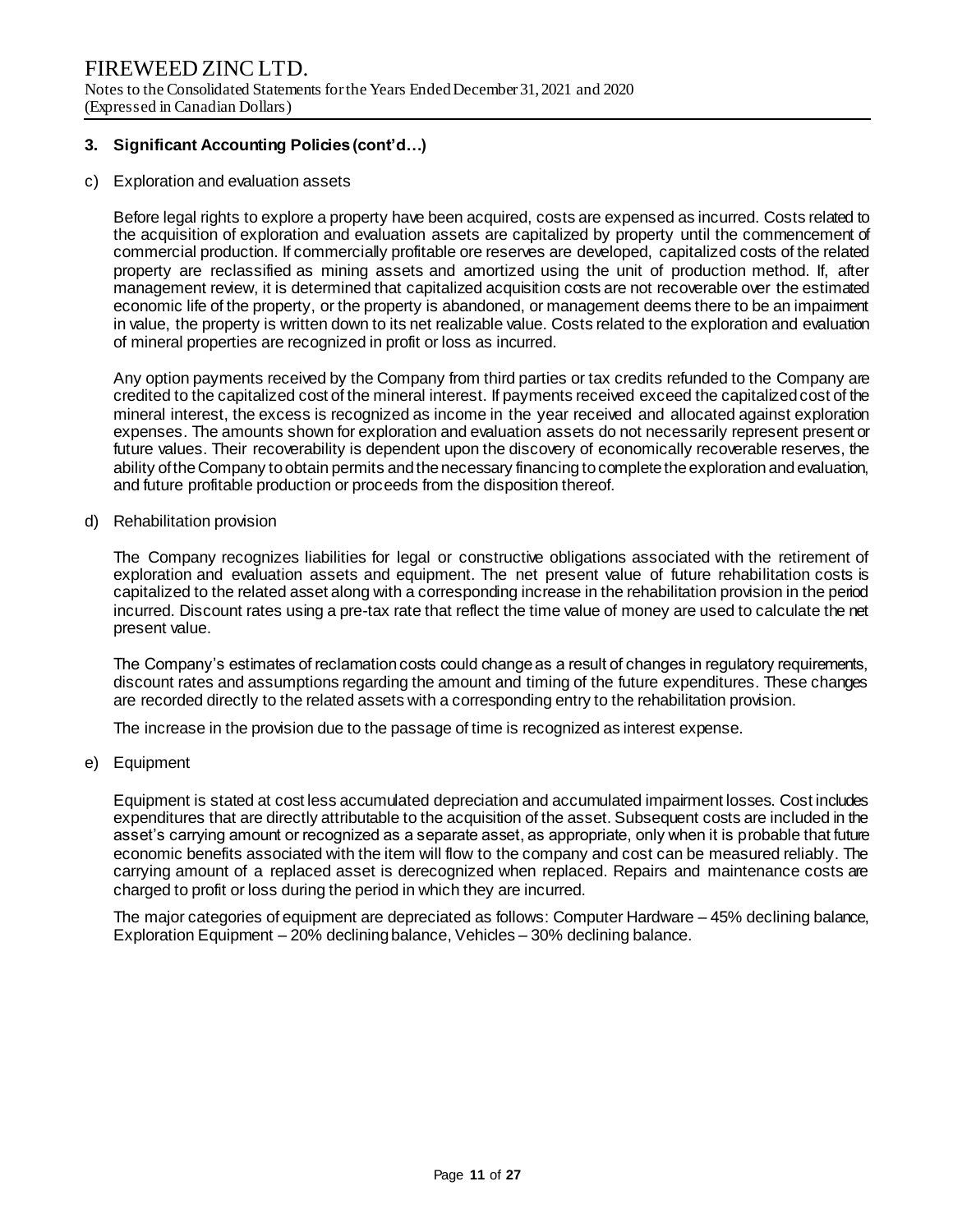### c) Exploration and evaluation assets

Before legal rights to explore a property have been acquired, costs are expensed as incurred. Costs related to the acquisition of exploration and evaluation assets are capitalized by property until the commencement of commercial production. If commercially profitable ore reserves are developed, capitalized costs of the related property are reclassified as mining assets and amortized using the unit of production method. If, after management review, it is determined that capitalized acquisition costs are not recoverable over the estimated economic life of the property, or the property is abandoned, or management deems there to be an impairment in value, the property is written down to its net realizable value. Costs related to the exploration and evaluation of mineral properties are recognized in profit or loss as incurred.

Any option payments received by the Company from third parties or tax credits refunded to the Company are credited to the capitalized cost of the mineral interest. If payments received exceed the capitalized cost of the mineral interest, the excess is recognized as income in the year received and allocated against exploration expenses. The amounts shown for exploration and evaluation assets do not necessarily represent present or future values. Their recoverability is dependent upon the discovery of economically recoverable reserves, the ability of the Company to obtain permits and the necessary financing to complete the exploration and evaluation, and future profitable production or proceeds from the disposition thereof.

d) Rehabilitation provision

The Company recognizes liabilities for legal or constructive obligations associated with the retirement of exploration and evaluation assets and equipment. The net present value of future rehabilitation costs is capitalized to the related asset along with a corresponding increase in the rehabilitation provision in the period incurred. Discount rates using a pre-tax rate that reflect the time value of money are used to calculate the net present value.

The Company's estimates of reclamation costs could change as a result of changes in regulatory requirements, discount rates and assumptions regarding the amount and timing of the future expenditures. These changes are recorded directly to the related assets with a corresponding entry to the rehabilitation provision.

The increase in the provision due to the passage of time is recognized as interest expense.

#### e) Equipment

Equipment is stated at cost less accumulated depreciation and accumulated impairment losses. Cost includes expenditures that are directly attributable to the acquisition of the asset. Subsequent costs are included in the asset's carrying amount or recognized as a separate asset, as appropriate, only when it is probable that future economic benefits associated with the item will flow to the company and cost can be measured reliably. The carrying amount of a replaced asset is derecognized when replaced. Repairs and maintenance costs are charged to profit or loss during the period in which they are incurred.

The major categories of equipment are depreciated as follows: Computer Hardware – 45% declining balance, Exploration Equipment – 20% declining balance, Vehicles – 30% declining balance.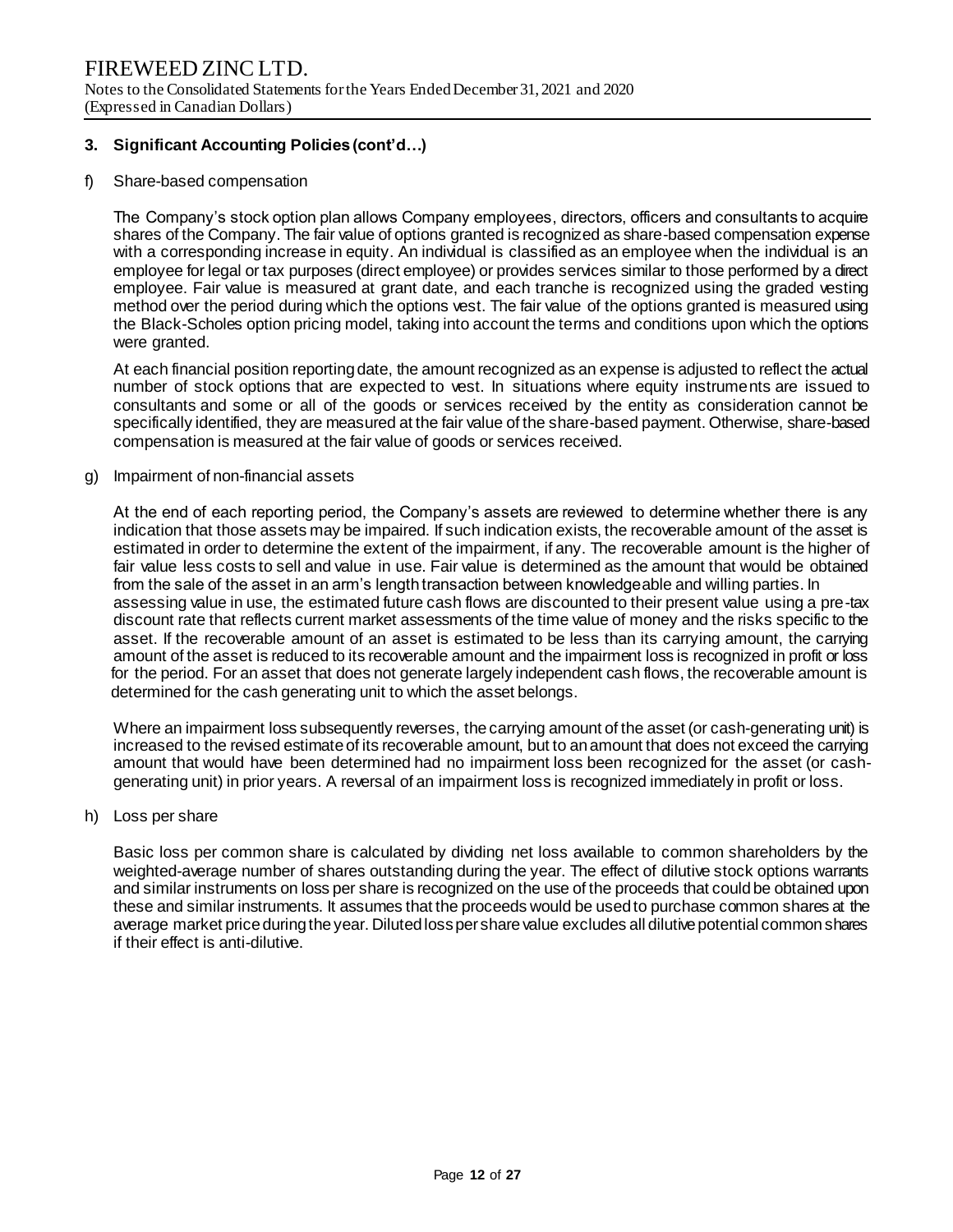#### f) Share-based compensation

The Company's stock option plan allows Company employees, directors, officers and consultants to acquire shares of the Company. The fair value of options granted is recognized as share-based compensation expense with a corresponding increase in equity. An individual is classified as an employee when the individual is an employee for legal or tax purposes (direct employee) or provides services similar to those performed by a direct employee. Fair value is measured at grant date, and each tranche is recognized using the graded vesting method over the period during which the options vest. The fair value of the options granted is measured using the Black-Scholes option pricing model, taking into account the terms and conditions upon which the options were granted.

At each financial position reporting date, the amount recognized as an expense is adjusted to reflect the actual number of stock options that are expected to vest. In situations where equity instruments are issued to consultants and some or all of the goods or services received by the entity as consideration cannot be specifically identified, they are measured at the fair value of the share-based payment. Otherwise, share-based compensation is measured at the fair value of goods or services received.

#### g) Impairment of non-financial assets

At the end of each reporting period, the Company's assets are reviewed to determine whether there is any indication that those assets may be impaired. If such indication exists, the recoverable amount of the asset is estimated in order to determine the extent of the impairment, if any. The recoverable amount is the higher of fair value less costs to sell and value in use. Fair value is determined as the amount that would be obtained from the sale of the asset in an arm's length transaction between knowledgeable and willing parties. In assessing value in use, the estimated future cash flows are discounted to their present value using a pre-tax discount rate that reflects current market assessments of the time value of money and the risks specific to the asset. If the recoverable amount of an asset is estimated to be less than its carrying amount, the carrying amount of the asset is reduced to its recoverable amount and the impairment loss is recognized in profit or loss for the period. For an asset that does not generate largely independent cash flows, the recoverable amount is determined for the cash generating unit to which the asset belongs.

Where an impairment loss subsequently reverses, the carrying amount of the asset (or cash-generating unit) is increased to the revised estimate of its recoverable amount, but to an amount that does not exceed the carrying amount that would have been determined had no impairment loss been recognized for the asset (or cashgenerating unit) in prior years. A reversal of an impairment loss is recognized immediately in profit or loss.

#### h) Loss per share

Basic loss per common share is calculated by dividing net loss available to common shareholders by the weighted-average number of shares outstanding during the year. The effect of dilutive stock options warrants and similar instruments on loss per share is recognized on the use of the proceeds that could be obtained upon these and similar instruments. It assumes that the proceeds would be used to purchase common shares at the average market price during the year. Diluted loss per share value excludes all dilutive potential common shares if their effect is anti-dilutive.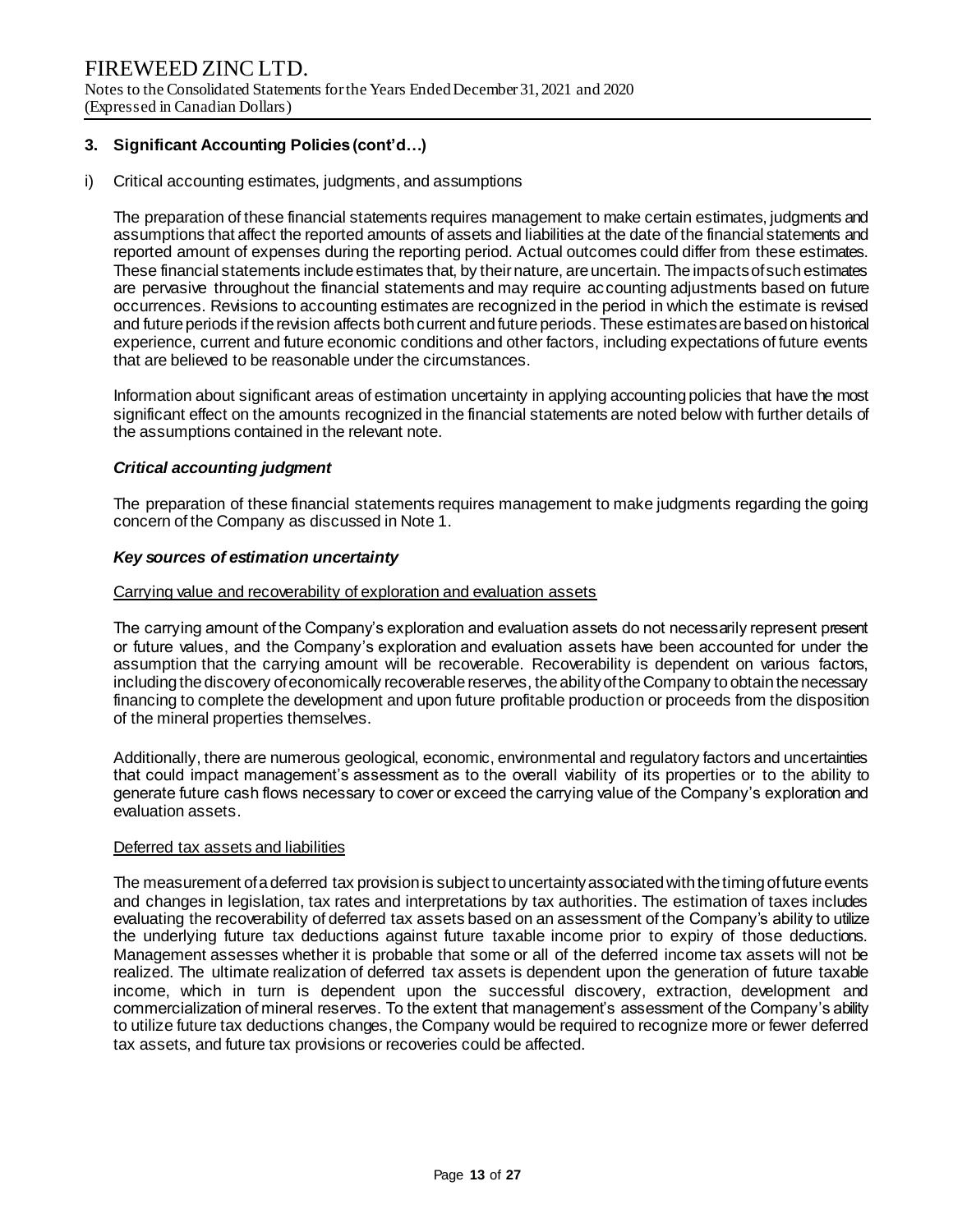i) Critical accounting estimates, judgments, and assumptions

The preparation of these financial statements requires management to make certain estimates, judgments and assumptions that affect the reported amounts of assets and liabilities at the date of the financial statements and reported amount of expenses during the reporting period. Actual outcomes could differ from these estimates. These financial statements include estimates that, by their nature, are uncertain. The impacts of such estimates are pervasive throughout the financial statements and may require accounting adjustments based on future occurrences. Revisions to accounting estimates are recognized in the period in which the estimate is revised and future periods if the revision affects both current and future periods. These estimates are based on historical experience, current and future economic conditions and other factors, including expectations of future events that are believed to be reasonable under the circumstances.

Information about significant areas of estimation uncertainty in applying accounting policies that have the most significant effect on the amounts recognized in the financial statements are noted below with further details of the assumptions contained in the relevant note.

#### *Critical accounting judgment*

The preparation of these financial statements requires management to make judgments regarding the going concern of the Company as discussed in Note 1.

#### *Key sources of estimation uncertainty*

#### Carrying value and recoverability of exploration and evaluation assets

The carrying amount of the Company's exploration and evaluation assets do not necessarily represent present or future values, and the Company's exploration and evaluation assets have been accounted for under the assumption that the carrying amount will be recoverable. Recoverability is dependent on various factors, including the discovery of economically recoverable reserves, the ability of the Company to obtain the necessary financing to complete the development and upon future profitable production or proceeds from the disposition of the mineral properties themselves.

Additionally, there are numerous geological, economic, environmental and regulatory factors and uncertainties that could impact management's assessment as to the overall viability of its properties or to the ability to generate future cash flows necessary to cover or exceed the carrying value of the Company's exploration and evaluation assets.

#### Deferred tax assets and liabilities

The measurement of a deferred tax provision is subject to uncertainty associated with the timing of future events and changes in legislation, tax rates and interpretations by tax authorities. The estimation of taxes includes evaluating the recoverability of deferred tax assets based on an assessment of the Company's ability to utilize the underlying future tax deductions against future taxable income prior to expiry of those deductions. Management assesses whether it is probable that some or all of the deferred income tax assets will not be realized. The ultimate realization of deferred tax assets is dependent upon the generation of future taxable income, which in turn is dependent upon the successful discovery, extraction, development and commercialization of mineral reserves. To the extent that management's assessment of the Company's ability to utilize future tax deductions changes, the Company would be required to recognize more or fewer deferred tax assets, and future tax provisions or recoveries could be affected.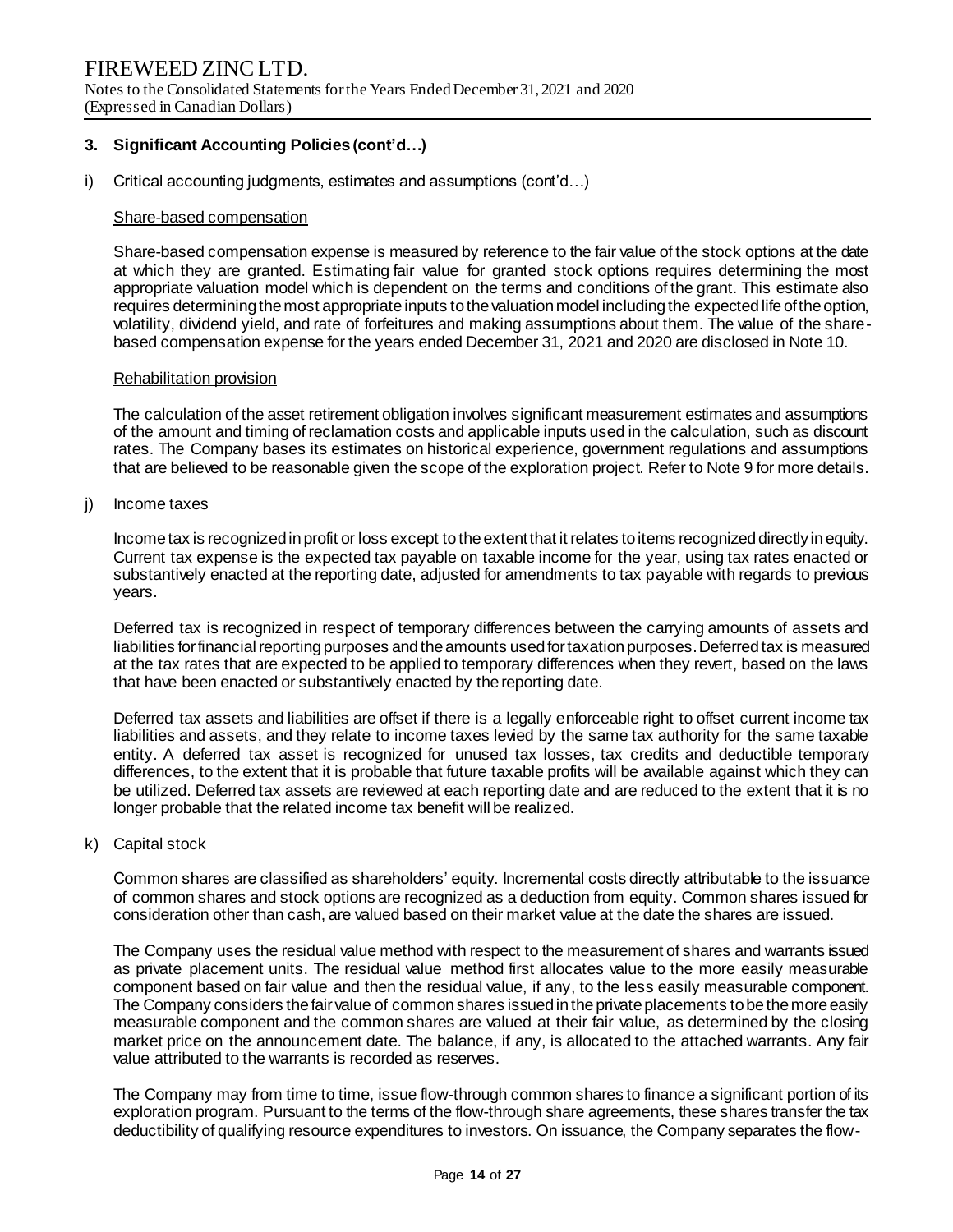i) Critical accounting judgments, estimates and assumptions (cont'd…)

#### Share-based compensation

Share-based compensation expense is measured by reference to the fair value of the stock options at the date at which they are granted. Estimating fair value for granted stock options requires determining the most appropriate valuation model which is dependent on the terms and conditions of the grant. This estimate also requires determining the most appropriate inputs to the valuation model including the expected life of the option, volatility, dividend yield, and rate of forfeitures and making assumptions about them. The value of the sharebased compensation expense for the years ended December 31, 2021 and 2020 are disclosed in Note 10.

#### Rehabilitation provision

The calculation of the asset retirement obligation involves significant measurement estimates and assumptions of the amount and timing of reclamation costs and applicable inputs used in the calculation, such as discount rates. The Company bases its estimates on historical experience, government regulations and assumptions that are believed to be reasonable given the scope of the exploration project. Refer to Note 9 for more details.

j) Income taxes

Income tax is recognized in profit or loss except to the extent that it relates to items recognized directly in equity. Current tax expense is the expected tax payable on taxable income for the year, using tax rates enacted or substantively enacted at the reporting date, adjusted for amendments to tax payable with regards to previous years.

Deferred tax is recognized in respect of temporary differences between the carrying amounts of assets and liabilities for financial reporting purposes and the amounts used for taxation purposes. Deferred tax is measured at the tax rates that are expected to be applied to temporary differences when they revert, based on the laws that have been enacted or substantively enacted by the reporting date.

Deferred tax assets and liabilities are offset if there is a legally enforceable right to offset current income tax liabilities and assets, and they relate to income taxes levied by the same tax authority for the same taxable entity. A deferred tax asset is recognized for unused tax losses, tax credits and deductible temporary differences, to the extent that it is probable that future taxable profits will be available against which they can be utilized. Deferred tax assets are reviewed at each reporting date and are reduced to the extent that it is no longer probable that the related income tax benefit will be realized.

#### k) Capital stock

Common shares are classified as shareholders' equity. Incremental costs directly attributable to the issuance of common shares and stock options are recognized as a deduction from equity. Common shares issued for consideration other than cash, are valued based on their market value at the date the shares are issued.

The Company uses the residual value method with respect to the measurement of shares and warrants issued as private placement units. The residual value method first allocates value to the more easily measurable component based on fair value and then the residual value, if any, to the less easily measurable component. The Company considers the fair value of common shares issued in the private placements to be the more easily measurable component and the common shares are valued at their fair value, as determined by the closing market price on the announcement date. The balance, if any, is allocated to the attached warrants. Any fair value attributed to the warrants is recorded as reserves.

The Company may from time to time, issue flow-through common shares to finance a significant portion of its exploration program. Pursuant to the terms of the flow-through share agreements, these shares transfer the tax deductibility of qualifying resource expenditures to investors. On issuance, the Company separates the flow-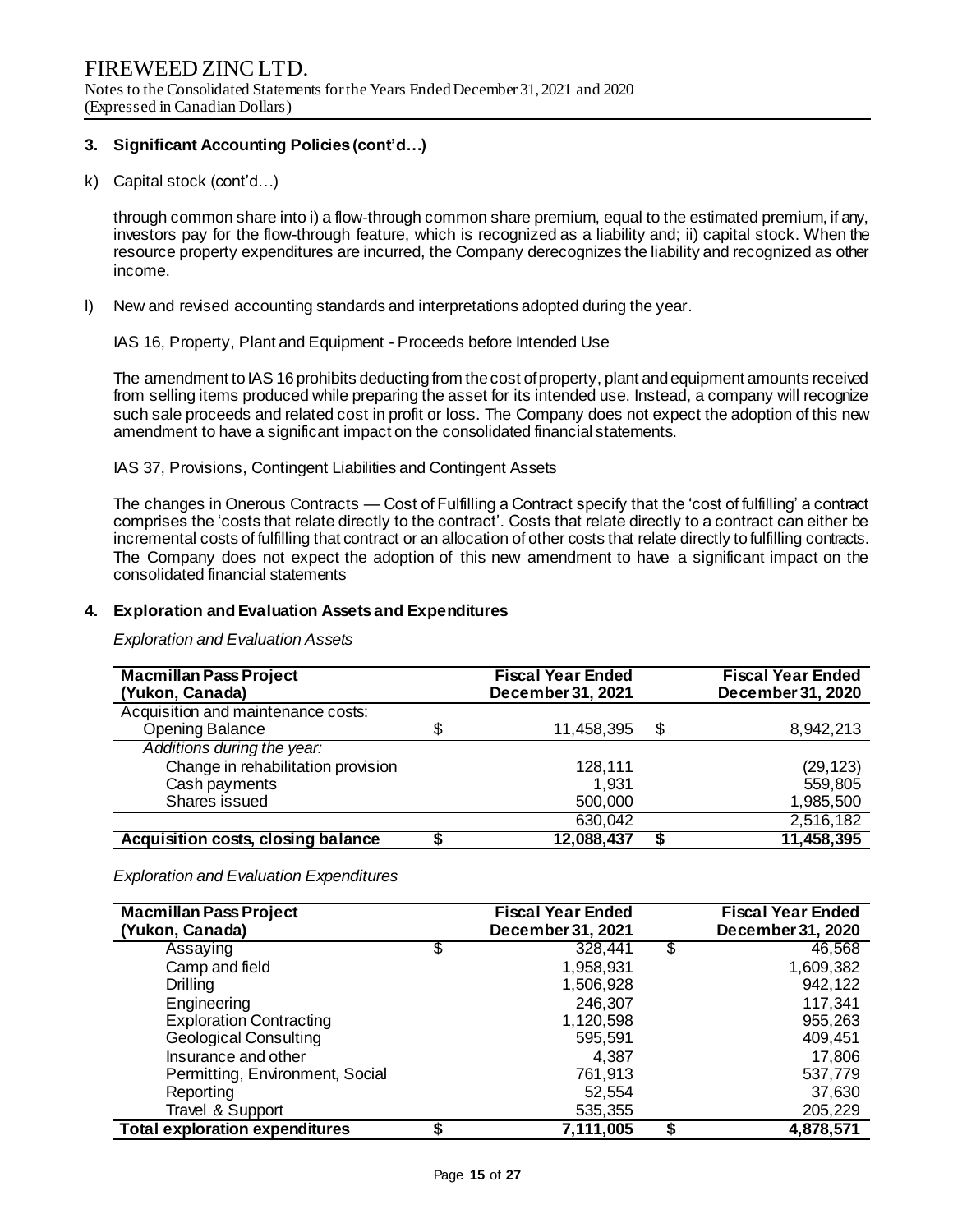k) Capital stock (cont'd…)

through common share into i) a flow-through common share premium, equal to the estimated premium, if any, investors pay for the flow-through feature, which is recognized as a liability and; ii) capital stock. When the resource property expenditures are incurred, the Company derecognizes the liability and recognized as other income.

l) New and revised accounting standards and interpretations adopted during the year.

IAS 16, Property, Plant and Equipment - Proceeds before Intended Use

The amendment to IAS 16 prohibits deducting from the cost of property, plant and equipment amounts received from selling items produced while preparing the asset for its intended use. Instead, a company will recognize such sale proceeds and related cost in profit or loss. The Company does not expect the adoption of this new amendment to have a significant impact on the consolidated financial statements.

IAS 37, Provisions, Contingent Liabilities and Contingent Assets

The changes in Onerous Contracts — Cost of Fulfilling a Contract specify that the 'cost of fulfilling' a contract comprises the 'costs that relate directly to the contract'. Costs that relate directly to a contract can either be incremental costs of fulfilling that contract or an allocation of other costs that relate directly to fulfilling contracts. The Company does not expect the adoption of this new amendment to have a significant impact on the consolidated financial statements

# **4. Exploration and Evaluation Assetsand Expenditures**

*Exploration and Evaluation Assets*

| <b>Macmillan Pass Project</b><br>(Yukon, Canada)             | <b>Fiscal Year Ended</b><br>December 31, 2021 | <b>Fiscal Year Ended</b><br>December 31, 2020 |
|--------------------------------------------------------------|-----------------------------------------------|-----------------------------------------------|
| Acquisition and maintenance costs:<br><b>Opening Balance</b> | \$<br>11,458,395                              | \$<br>8,942,213                               |
| Additions during the year:                                   |                                               |                                               |
| Change in rehabilitation provision                           | 128,111                                       | (29, 123)                                     |
| Cash payments                                                | 1,931                                         | 559,805                                       |
| Shares issued                                                | 500,000                                       | 1,985,500                                     |
|                                                              | 630,042                                       | 2,516,182                                     |
| Acquisition costs, closing balance                           | 12,088,437                                    | 11,458,395                                    |

*Exploration and Evaluation Expenditures*

| <b>Macmillan Pass Project</b><br>(Yukon, Canada) | <b>Fiscal Year Ended</b><br>December 31, 2021 | <b>Fiscal Year Ended</b><br>December 31, 2020 |
|--------------------------------------------------|-----------------------------------------------|-----------------------------------------------|
| Assaying                                         | 328,441                                       | 46,568                                        |
| Camp and field                                   | 1,958,931                                     | 1,609,382                                     |
| Drilling                                         | 1,506,928                                     | 942,122                                       |
| Engineering                                      | 246,307                                       | 117,341                                       |
| <b>Exploration Contracting</b>                   | 1,120,598                                     | 955,263                                       |
| <b>Geological Consulting</b>                     | 595,591                                       | 409,451                                       |
| Insurance and other                              | 4.387                                         | 17,806                                        |
| Permitting, Environment, Social                  | 761,913                                       | 537,779                                       |
| Reporting                                        | 52,554                                        | 37,630                                        |
| Travel & Support                                 | 535,355                                       | 205,229                                       |
| <b>Total exploration expenditures</b>            | 7,111,005                                     | 4,878,571                                     |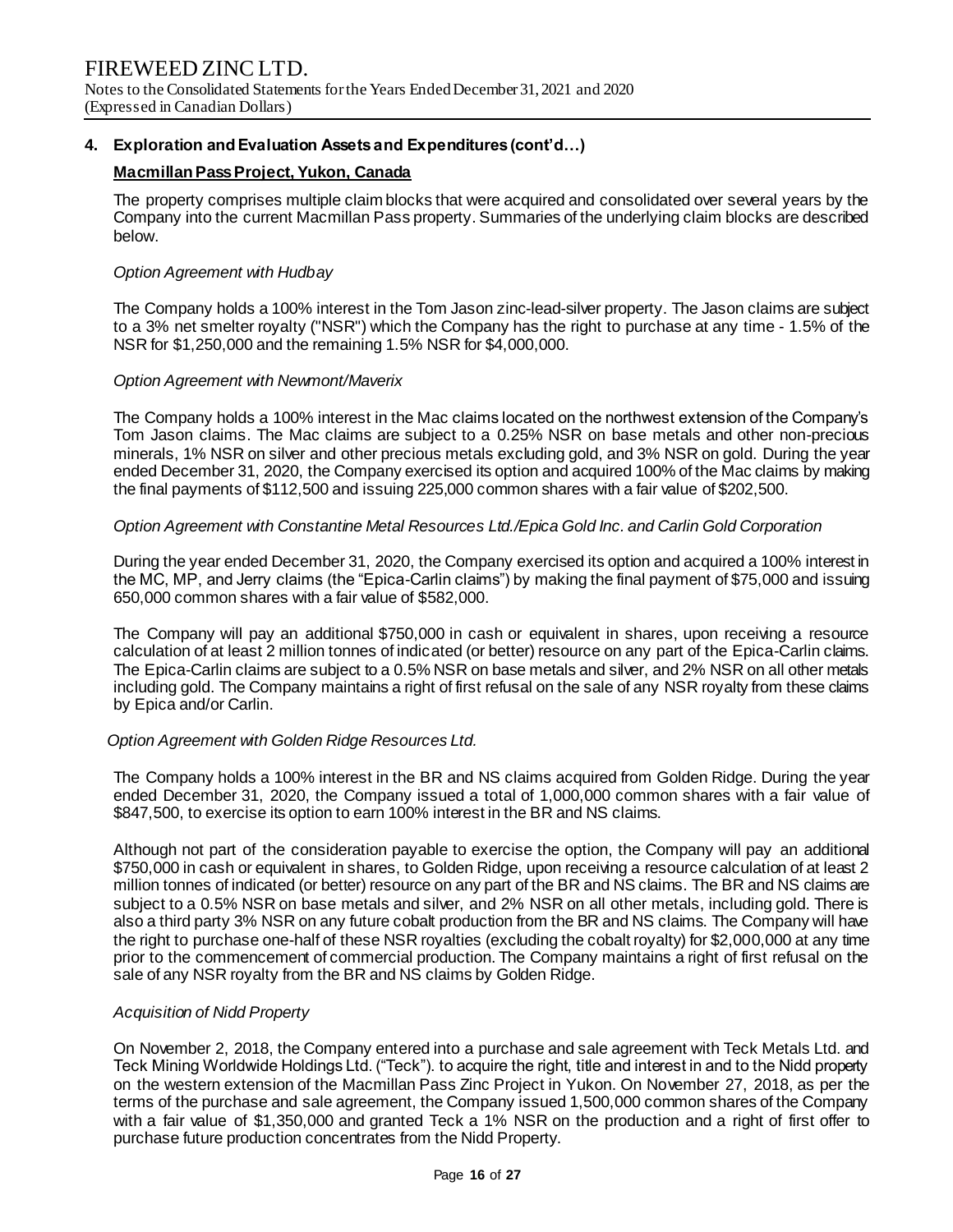# **4. Exploration and Evaluation Assets and Expenditures (cont'd…)**

# **Macmillan Pass Project, Yukon, Canada**

The property comprises multiple claim blocks that were acquired and consolidated over several years by the Company into the current Macmillan Pass property. Summaries of the underlying claim blocks are described below.

### *Option Agreement with Hudbay*

The Company holds a 100% interest in the Tom Jason zinc-lead-silver property. The Jason claims are subject to a 3% net smelter royalty ("NSR") which the Company has the right to purchase at any time - 1.5% of the NSR for \$1,250,000 and the remaining 1.5% NSR for \$4,000,000.

# *Option Agreement with Newmont/Maverix*

The Company holds a 100% interest in the Mac claims located on the northwest extension of the Company's Tom Jason claims. The Mac claims are subject to a 0.25% NSR on base metals and other non-precious minerals, 1% NSR on silver and other precious metals excluding gold, and 3% NSR on gold. During the year ended December 31, 2020, the Company exercised its option and acquired 100% of the Mac claims by making the final payments of \$112,500 and issuing 225,000 common shares with a fair value of \$202,500.

# *Option Agreement with Constantine Metal Resources Ltd./Epica Gold Inc. and Carlin Gold Corporation*

During the year ended December 31, 2020, the Company exercised its option and acquired a 100% interest in the MC, MP, and Jerry claims (the "Epica-Carlin claims") by making the final payment of \$75,000 and issuing 650,000 common shares with a fair value of \$582,000.

The Company will pay an additional \$750,000 in cash or equivalent in shares, upon receiving a resource calculation of at least 2 million tonnes of indicated (or better) resource on any part of the Epica-Carlin claims. The Epica-Carlin claims are subject to a 0.5% NSR on base metals and silver, and 2% NSR on all other metals including gold. The Company maintains a right of first refusal on the sale of any NSR royalty from these claims by Epica and/or Carlin.

#### *Option Agreement with Golden Ridge Resources Ltd.*

The Company holds a 100% interest in the BR and NS claims acquired from Golden Ridge. During the year ended December 31, 2020, the Company issued a total of 1,000,000 common shares with a fair value of \$847,500, to exercise its option to earn 100% interest in the BR and NS claims.

Although not part of the consideration payable to exercise the option, the Company will pay an additional \$750,000 in cash or equivalent in shares, to Golden Ridge, upon receiving a resource calculation of at least 2 million tonnes of indicated (or better) resource on any part of the BR and NS claims. The BR and NS claims are subject to a 0.5% NSR on base metals and silver, and 2% NSR on all other metals, including gold. There is also a third party 3% NSR on any future cobalt production from the BR and NS claims. The Company will have the right to purchase one-half of these NSR royalties (excluding the cobalt royalty) for \$2,000,000 at any time prior to the commencement of commercial production. The Company maintains a right of first refusal on the sale of any NSR royalty from the BR and NS claims by Golden Ridge.

#### *Acquisition of Nidd Property*

On November 2, 2018, the Company entered into a purchase and sale agreement with Teck Metals Ltd. and Teck Mining Worldwide Holdings Ltd. ("Teck"). to acquire the right, title and interest in and to the Nidd property on the western extension of the Macmillan Pass Zinc Project in Yukon. On November 27, 2018, as per the terms of the purchase and sale agreement, the Company issued 1,500,000 common shares of the Company with a fair value of \$1,350,000 and granted Teck a 1% NSR on the production and a right of first offer to purchase future production concentrates from the Nidd Property.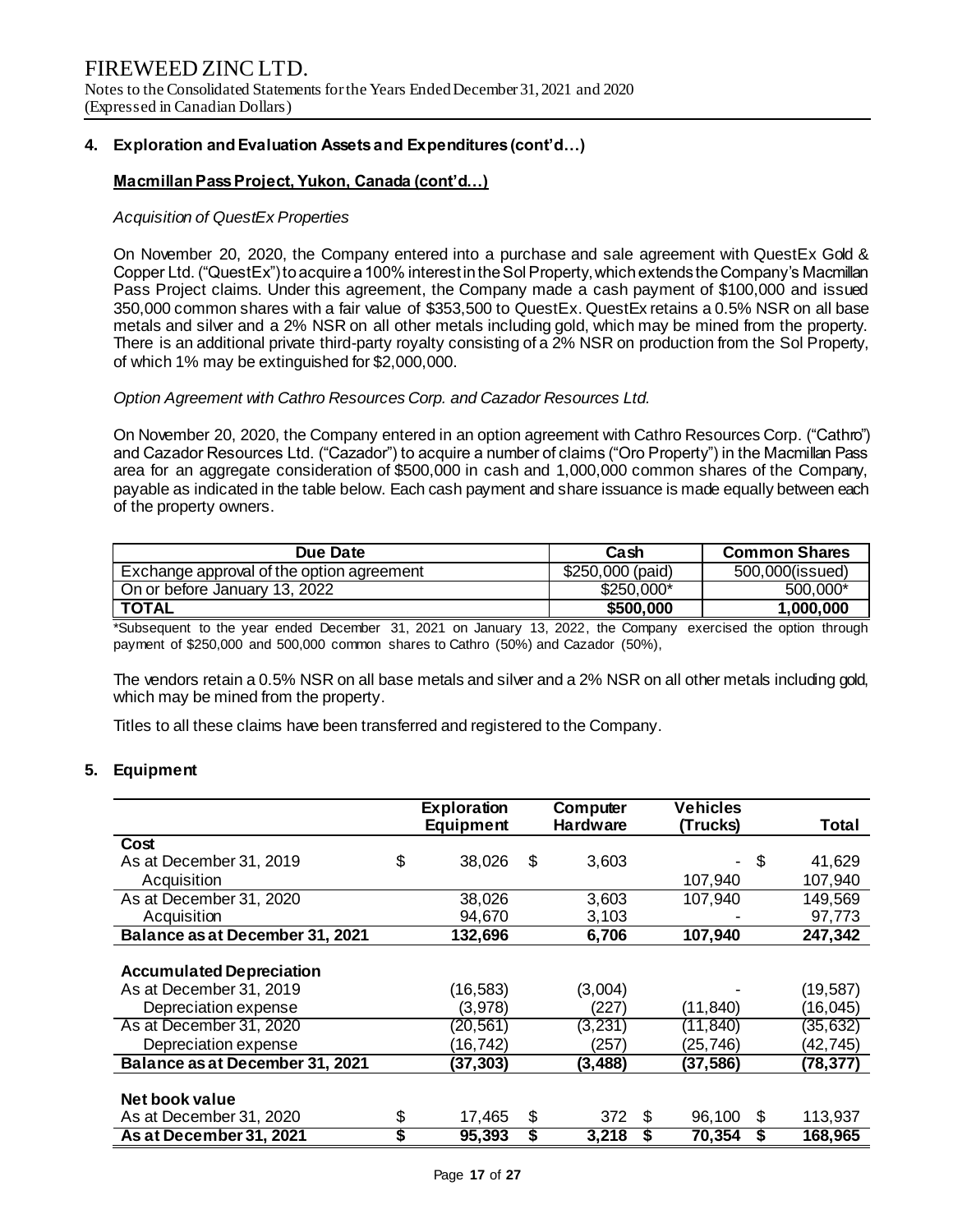# **4. Exploration and Evaluation Assets and Expenditures (cont'd…)**

### **Macmillan Pass Project, Yukon, Canada (cont'd…)**

#### *Acquisition of QuestEx Properties*

On November 20, 2020, the Company entered into a purchase and sale agreement with QuestEx Gold & Copper Ltd. ("QuestEx") to acquire a 100% interest in the Sol Property, which extends the Company's Macmillan Pass Project claims. Under this agreement, the Company made a cash payment of \$100,000 and issued 350,000 common shares with a fair value of \$353,500 to QuestEx. QuestEx retains a 0.5% NSR on all base metals and silver and a 2% NSR on all other metals including gold, which may be mined from the property. There is an additional private third-party royalty consisting of a 2% NSR on production from the Sol Property, of which 1% may be extinguished for \$2,000,000.

#### *Option Agreement with Cathro Resources Corp. and Cazador Resources Ltd.*

On November 20, 2020, the Company entered in an option agreement with Cathro Resources Corp. ("Cathro") and Cazador Resources Ltd. ("Cazador") to acquire a number of claims ("Oro Property") in the Macmillan Pass area for an aggregate consideration of \$500,000 in cash and 1,000,000 common shares of the Company, payable as indicated in the table below. Each cash payment and share issuance is made equally between each of the property owners.

| Due Date                                  | Casth            | <b>Common Shares</b> |
|-------------------------------------------|------------------|----------------------|
| Exchange approval of the option agreement | \$250,000 (paid) | 500,000(issued)      |
| On or before January 13, 2022             | \$250,000*       | 500,000*             |
| <b>TOTAL</b>                              | \$500,000        | 1,000,000            |

\*Subsequent to the year ended December 31, 2021 on January 13, 2022, the Company exercised the option through payment of \$250,000 and 500,000 common shares to Cathro (50%) and Cazador (50%),

The vendors retain a 0.5% NSR on all base metals and silver and a 2% NSR on all other metals including gold, which may be mined from the property.

Titles to all these claims have been transferred and registered to the Company.

#### **5. Equipment**

|                                 | <b>Exploration</b> |    | Computer        | <b>Vehicles</b> |    |          |
|---------------------------------|--------------------|----|-----------------|-----------------|----|----------|
|                                 | Equipment          |    | <b>Hardware</b> | (Trucks)        |    | Total    |
| Cost                            |                    |    |                 |                 |    |          |
| As at December 31, 2019         | \$<br>38,026       | \$ | 3,603           |                 | \$ | 41,629   |
| Acquisition                     |                    |    |                 | 107,940         |    | 107,940  |
| As at December 31, 2020         | 38,026             |    | 3,603           | 107,940         |    | 149,569  |
| Acquisition                     | 94,670             |    | 3,103           |                 |    | 97,773   |
| Balance as at December 31, 2021 | 132,696            |    | 6,706           | 107,940         |    | 247,342  |
|                                 |                    |    |                 |                 |    |          |
| <b>Accumulated Depreciation</b> |                    |    |                 |                 |    |          |
| As at December 31, 2019         | (16, 583)          |    | (3,004)         |                 |    | (19,587) |
| Depreciation expense            | (3,978)            |    | (227)           | (11, 840)       |    | (16,045) |
| As at December 31, 2020         | (20, 561)          |    | (3,231)         | (11, 840)       |    | (35,632) |
| Depreciation expense            | (16,742)           |    | (257`           | (25,746)        |    | (42,745) |
| Balance as at December 31, 2021 | (37,303)           |    | (3, 488)        | (37,586)        |    | (78,377) |
|                                 |                    |    |                 |                 |    |          |
| Net book value                  |                    |    |                 |                 |    |          |
| As at December 31, 2020         | \$<br>17,465       | \$ | 372             | \$<br>96,100    | \$ | 113,937  |
| As at December 31, 2021         | \$<br>95,393       | S  | 3,218           | 70,354          | S  | 168,965  |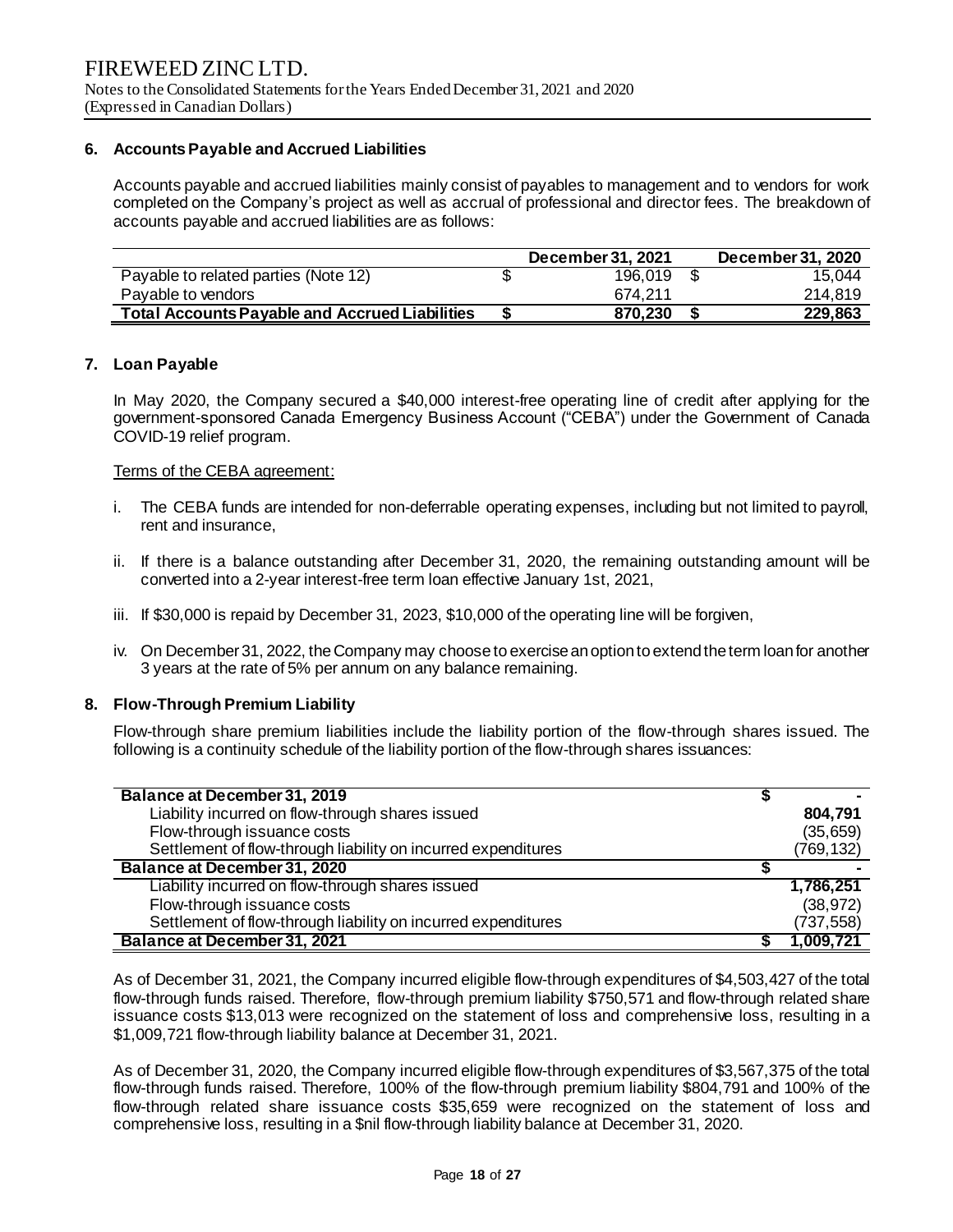#### **6. Accounts Payable and Accrued Liabilities**

Accounts payable and accrued liabilities mainly consist of payables to management and to vendors for work completed on the Company's project as well as accrual of professional and director fees. The breakdown of accounts payable and accrued liabilities are as follows:

|                                                       | <b>December 31, 2021</b> | December 31, 2020 |
|-------------------------------------------------------|--------------------------|-------------------|
| Payable to related parties (Note 12)                  | 196.019                  | 15.044            |
| Pavable to vendors                                    | 674.211                  | 214.819           |
| <b>Total Accounts Payable and Accrued Liabilities</b> | 870.230                  | 229,863           |

#### **7. Loan Payable**

In May 2020, the Company secured a \$40,000 interest-free operating line of credit after applying for the government-sponsored Canada Emergency Business Account ("CEBA") under the Government of Canada COVID-19 relief program.

#### Terms of the CEBA agreement:

- i. The CEBA funds are intended for non-deferrable operating expenses, including but not limited to payroll, rent and insurance,
- ii. If there is a balance outstanding after December 31, 2020, the remaining outstanding amount will be converted into a 2-year interest-free term loan effective January 1st, 2021,
- iii. If \$30,000 is repaid by December 31, 2023, \$10,000 of the operating line will be forgiven,
- iv. On December 31, 2022, the Company may choose to exercise an option to extend the term loan for another 3 years at the rate of 5% per annum on any balance remaining.

#### **8. Flow-Through Premium Liability**

Flow-through share premium liabilities include the liability portion of the flow-through shares issued. The following is a continuity schedule of the liability portion of the flow-through shares issuances:

| <b>Balance at December 31, 2019</b>                           |            |
|---------------------------------------------------------------|------------|
| Liability incurred on flow-through shares issued              | 804,791    |
| Flow-through issuance costs                                   | (35, 659)  |
| Settlement of flow-through liability on incurred expenditures | (769, 132) |
| <b>Balance at December 31, 2020</b>                           |            |
| Liability incurred on flow-through shares issued              | 1,786,251  |
| Flow-through issuance costs                                   | (38, 972)  |
| Settlement of flow-through liability on incurred expenditures | (737, 558) |
| <b>Balance at December 31, 2021</b>                           | 1,009,721  |

As of December 31, 2021, the Company incurred eligible flow-through expenditures of \$4,503,427 of the total flow-through funds raised. Therefore, flow-through premium liability \$750,571 and flow-through related share issuance costs \$13,013 were recognized on the statement of loss and comprehensive loss, resulting in a \$1,009,721 flow-through liability balance at December 31, 2021.

As of December 31, 2020, the Company incurred eligible flow-through expenditures of \$3,567,375 of the total flow-through funds raised. Therefore, 100% of the flow-through premium liability \$804,791 and 100% of the flow-through related share issuance costs \$35,659 were recognized on the statement of loss and comprehensive loss, resulting in a \$nil flow-through liability balance at December 31, 2020.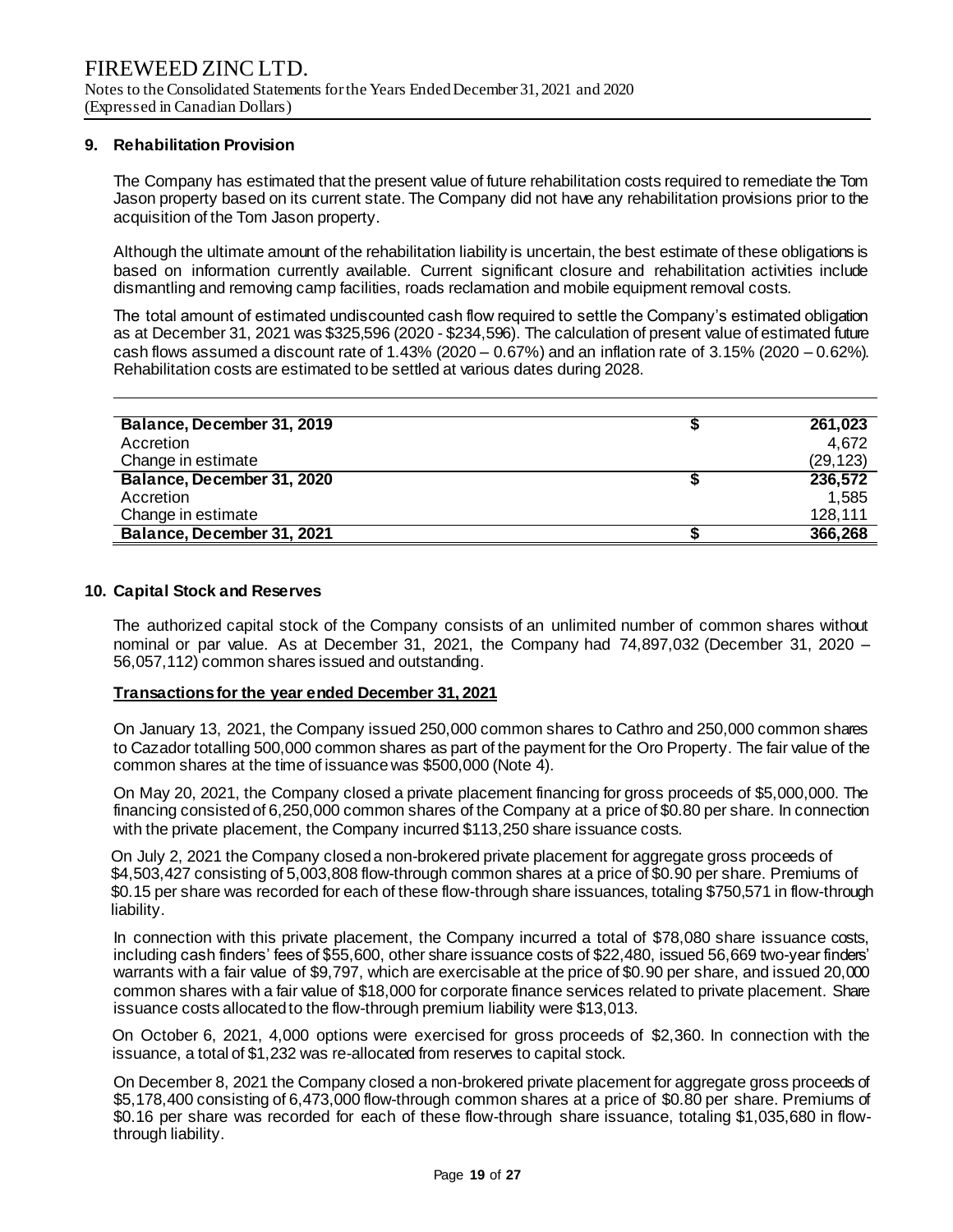#### **9. Rehabilitation Provision**

The Company has estimated that the present value of future rehabilitation costs required to remediate the Tom Jason property based on its current state. The Company did not have any rehabilitation provisions prior to the acquisition of the Tom Jason property.

Although the ultimate amount of the rehabilitation liability is uncertain, the best estimate of these obligations is based on information currently available. Current significant closure and rehabilitation activities include dismantling and removing camp facilities, roads reclamation and mobile equipment removal costs.

The total amount of estimated undiscounted cash flow required to settle the Company's estimated obligation as at December 31, 2021 was \$325,596 (2020 - \$234,596). The calculation of present value of estimated future cash flows assumed a discount rate of  $1.43\%$  (2020 – 0.67%) and an inflation rate of  $3.15\%$  (2020 – 0.62%). Rehabilitation costs are estimated to be settled at various dates during 2028.

| Balance, December 31, 2019 | 261,023   |
|----------------------------|-----------|
| Accretion                  | 4.672     |
| Change in estimate         | (29, 123) |
| Balance, December 31, 2020 | 236,572   |
| Accretion                  | 1,585     |
| Change in estimate         | 128,111   |
| Balance, December 31, 2021 | 366,268   |

# **10. Capital Stock and Reserves**

The authorized capital stock of the Company consists of an unlimited number of common shares without nominal or par value. As at December 31, 2021, the Company had 74,897,032 (December 31, 2020 – 56,057,112) common shares issued and outstanding.

#### **Transactions for the year ended December 31, 2021**

On January 13, 2021, the Company issued 250,000 common shares to Cathro and 250,000 common shares to Cazador totalling 500,000 common shares as part of the payment for the Oro Property. The fair value of the common shares at the time of issuance was \$500,000 (Note 4).

On May 20, 2021, the Company closed a private placement financing for gross proceeds of \$5,000,000. The financing consisted of 6,250,000 common shares of the Company at a price of \$0.80 per share. In connection with the private placement, the Company incurred \$113,250 share issuance costs.

On July 2, 2021 the Company closed a non-brokered private placement for aggregate gross proceeds of \$4,503,427 consisting of 5,003,808 flow-through common shares at a price of \$0.90 per share. Premiums of \$0.15 per share was recorded for each of these flow-through share issuances, totaling \$750,571 in flow-through liability.

In connection with this private placement, the Company incurred a total of \$78,080 share issuance costs, including cash finders' fees of \$55,600, other share issuance costs of \$22,480, issued 56,669 two-year finders' warrants with a fair value of \$9,797, which are exercisable at the price of \$0.90 per share, and issued 20,000 common shares with a fair value of \$18,000 for corporate finance services related to private placement. Share issuance costs allocated to the flow-through premium liability were \$13,013.

On October 6, 2021, 4,000 options were exercised for gross proceeds of \$2,360. In connection with the issuance, a total of \$1,232 was re-allocated from reserves to capital stock.

On December 8, 2021 the Company closed a non-brokered private placement for aggregate gross proceeds of \$5,178,400 consisting of 6,473,000 flow-through common shares at a price of \$0.80 per share. Premiums of \$0.16 per share was recorded for each of these flow-through share issuance, totaling \$1,035,680 in flowthrough liability.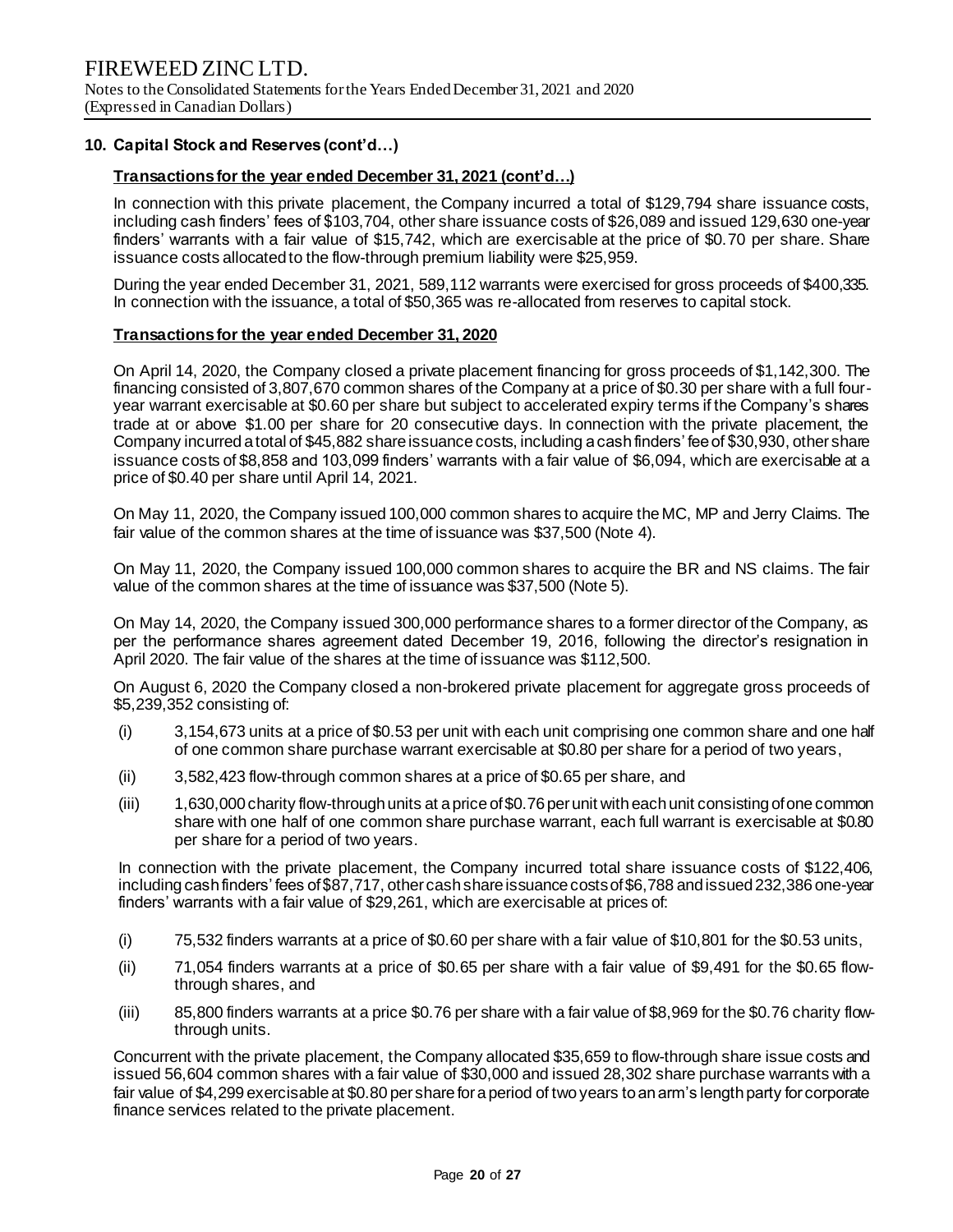### **Transactions for the year ended December 31, 2021 (cont'd…)**

In connection with this private placement, the Company incurred a total of \$129,794 share issuance costs, including cash finders' fees of \$103,704, other share issuance costs of \$26,089 and issued 129,630 one-year finders' warrants with a fair value of \$15,742, which are exercisable at the price of \$0.70 per share. Share issuance costs allocated to the flow-through premium liability were \$25,959.

During the year ended December 31, 2021, 589,112 warrants were exercised for gross proceeds of \$400,335. In connection with the issuance, a total of \$50,365 was re-allocated from reserves to capital stock.

#### **Transactions for the year ended December 31, 2020**

On April 14, 2020, the Company closed a private placement financing for gross proceeds of \$1,142,300. The financing consisted of 3,807,670 common shares of the Company at a price of \$0.30 per share with a full fouryear warrant exercisable at \$0.60 per share but subject to accelerated expiry terms if the Company's shares trade at or above \$1.00 per share for 20 consecutive days. In connection with the private placement, the Company incurred a total of \$45,882 share issuance costs, including a cash finders' fee of \$30,930, other share issuance costs of \$8,858 and 103,099 finders' warrants with a fair value of \$6,094, which are exercisable at a price of \$0.40 per share until April 14, 2021.

On May 11, 2020, the Company issued 100,000 common shares to acquire the MC, MP and Jerry Claims. The fair value of the common shares at the time of issuance was \$37,500 (Note 4).

On May 11, 2020, the Company issued 100,000 common shares to acquire the BR and NS claims. The fair value of the common shares at the time of issuance was \$37,500 (Note 5).

On May 14, 2020, the Company issued 300,000 performance shares to a former director of the Company, as per the performance shares agreement dated December 19, 2016, following the director's resignation in April 2020. The fair value of the shares at the time of issuance was \$112,500.

On August 6, 2020 the Company closed a non-brokered private placement for aggregate gross proceeds of \$5,239,352 consisting of:

- (i) 3,154,673 units at a price of \$0.53 per unit with each unit comprising one common share and one half of one common share purchase warrant exercisable at \$0.80 per share for a period of two years,
- (ii) 3,582,423 flow-through common shares at a price of \$0.65 per share, and
- (iii) 1,630,000 charity flow-through units at a price of\$0.76 per unit with each unit consisting of one common share with one half of one common share purchase warrant, each full warrant is exercisable at \$0.80 per share for a period of two years.

In connection with the private placement, the Company incurred total share issuance costs of \$122,406, including cash finders' fees of \$87,717, other cash share issuance costs of \$6,788 and issued 232,386 one-year finders' warrants with a fair value of \$29,261, which are exercisable at prices of:

- (i) 75,532 finders warrants at a price of \$0.60 per share with a fair value of \$10,801 for the \$0.53 units,
- (ii) 71,054 finders warrants at a price of \$0.65 per share with a fair value of \$9,491 for the \$0.65 flowthrough shares, and
- (iii) 85,800 finders warrants at a price \$0.76 per share with a fair value of \$8,969 for the \$0.76 charity flowthrough units.

Concurrent with the private placement, the Company allocated \$35,659 to flow-through share issue costs and issued 56,604 common shares with a fair value of \$30,000 and issued 28,302 share purchase warrants with a fair value of \$4,299 exercisable at \$0.80 per share for a period of two years to an arm's length party for corporate finance services related to the private placement.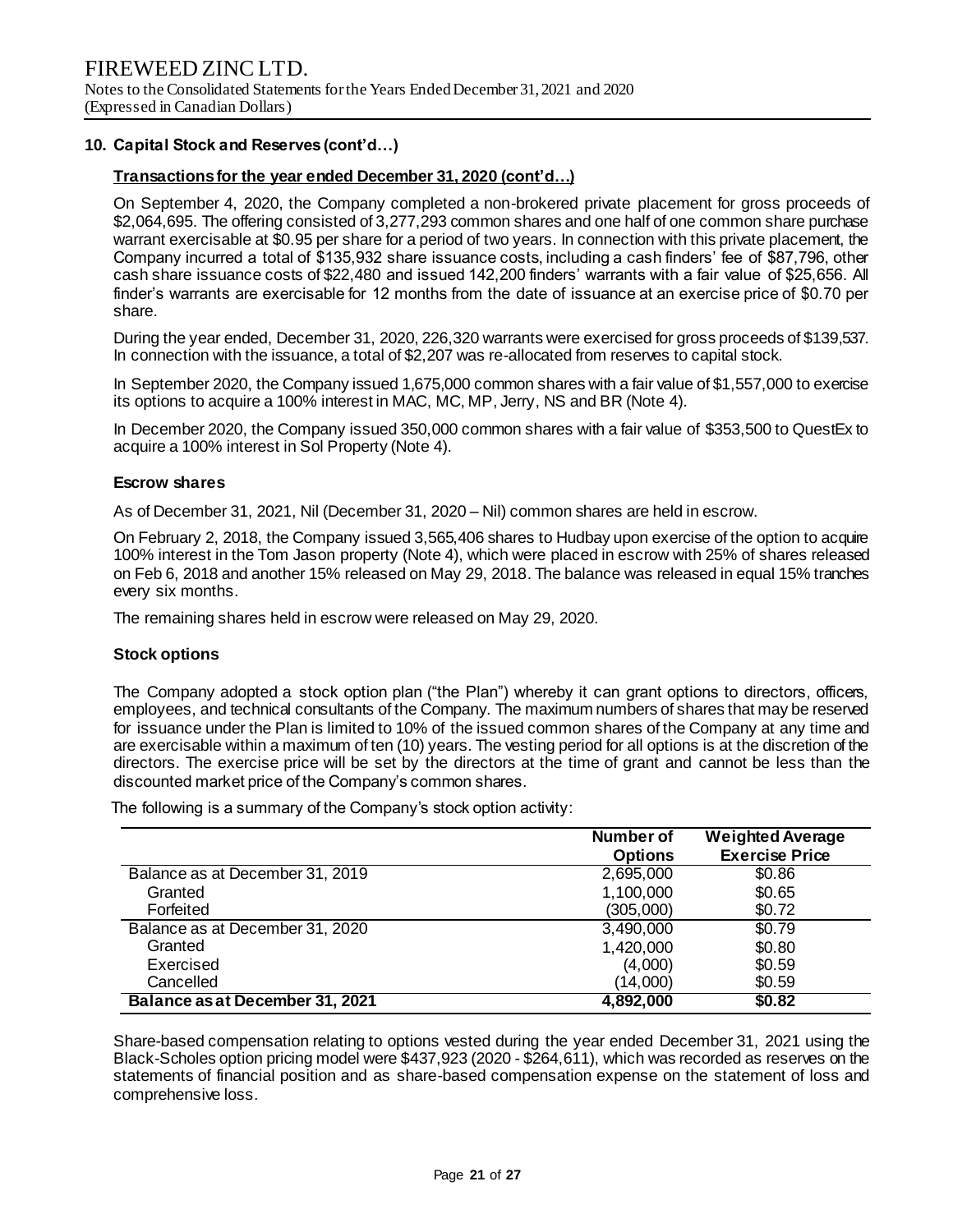# **Transactions for the year ended December 31, 2020 (cont'd…)**

On September 4, 2020, the Company completed a non-brokered private placement for gross proceeds of \$2,064,695. The offering consisted of 3,277,293 common shares and one half of one common share purchase warrant exercisable at \$0.95 per share for a period of two years. In connection with this private placement, the Company incurred a total of \$135,932 share issuance costs, including a cash finders' fee of \$87,796, other cash share issuance costs of \$22,480 and issued 142,200 finders' warrants with a fair value of \$25,656. All finder's warrants are exercisable for 12 months from the date of issuance at an exercise price of \$0.70 per share.

During the year ended, December 31, 2020, 226,320 warrants were exercised for gross proceeds of \$139,537. In connection with the issuance, a total of \$2,207 was re-allocated from reserves to capital stock.

In September 2020, the Company issued 1,675,000 common shares with a fair value of \$1,557,000 to exercise its options to acquire a 100% interest in MAC, MC, MP, Jerry, NS and BR (Note 4).

In December 2020, the Company issued 350,000 common shares with a fair value of \$353,500 to QuestEx to acquire a 100% interest in Sol Property (Note 4).

#### **Escrow shares**

As of December 31, 2021, Nil (December 31, 2020 – Nil) common shares are held in escrow.

On February 2, 2018, the Company issued 3,565,406 shares to Hudbay upon exercise of the option to acquire 100% interest in the Tom Jason property (Note 4), which were placed in escrow with 25% of shares released on Feb 6, 2018 and another 15% released on May 29, 2018. The balance was released in equal 15% tranches every six months.

The remaining shares held in escrow were released on May 29, 2020.

#### **Stock options**

The Company adopted a stock option plan ("the Plan") whereby it can grant options to directors, officers, employees, and technical consultants of the Company. The maximum numbers of shares that may be reserved for issuance under the Plan is limited to 10% of the issued common shares of the Company at any time and are exercisable within a maximum of ten (10) years. The vesting period for all options is at the discretion of the directors. The exercise price will be set by the directors at the time of grant and cannot be less than the discounted market price of the Company's common shares.

The following is a summary of the Company's stock option activity:

|                                 | Number of      | <b>Weighted Average</b> |
|---------------------------------|----------------|-------------------------|
|                                 | <b>Options</b> | <b>Exercise Price</b>   |
| Balance as at December 31, 2019 | 2,695,000      | \$0.86                  |
| Granted                         | 1,100,000      | \$0.65                  |
| Forfeited                       | (305,000)      | \$0.72                  |
| Balance as at December 31, 2020 | 3,490,000      | \$0.79                  |
| Granted                         | 1,420,000      | \$0.80                  |
| Exercised                       | (4,000)        | \$0.59                  |
| Cancelled                       | (14,000)       | \$0.59                  |
| Balance as at December 31, 2021 | 4,892,000      | \$0.82                  |

Share-based compensation relating to options vested during the year ended December 31, 2021 using the Black-Scholes option pricing model were \$437,923 (2020 - \$264,611), which was recorded as reserves on the statements of financial position and as share-based compensation expense on the statement of loss and comprehensive loss.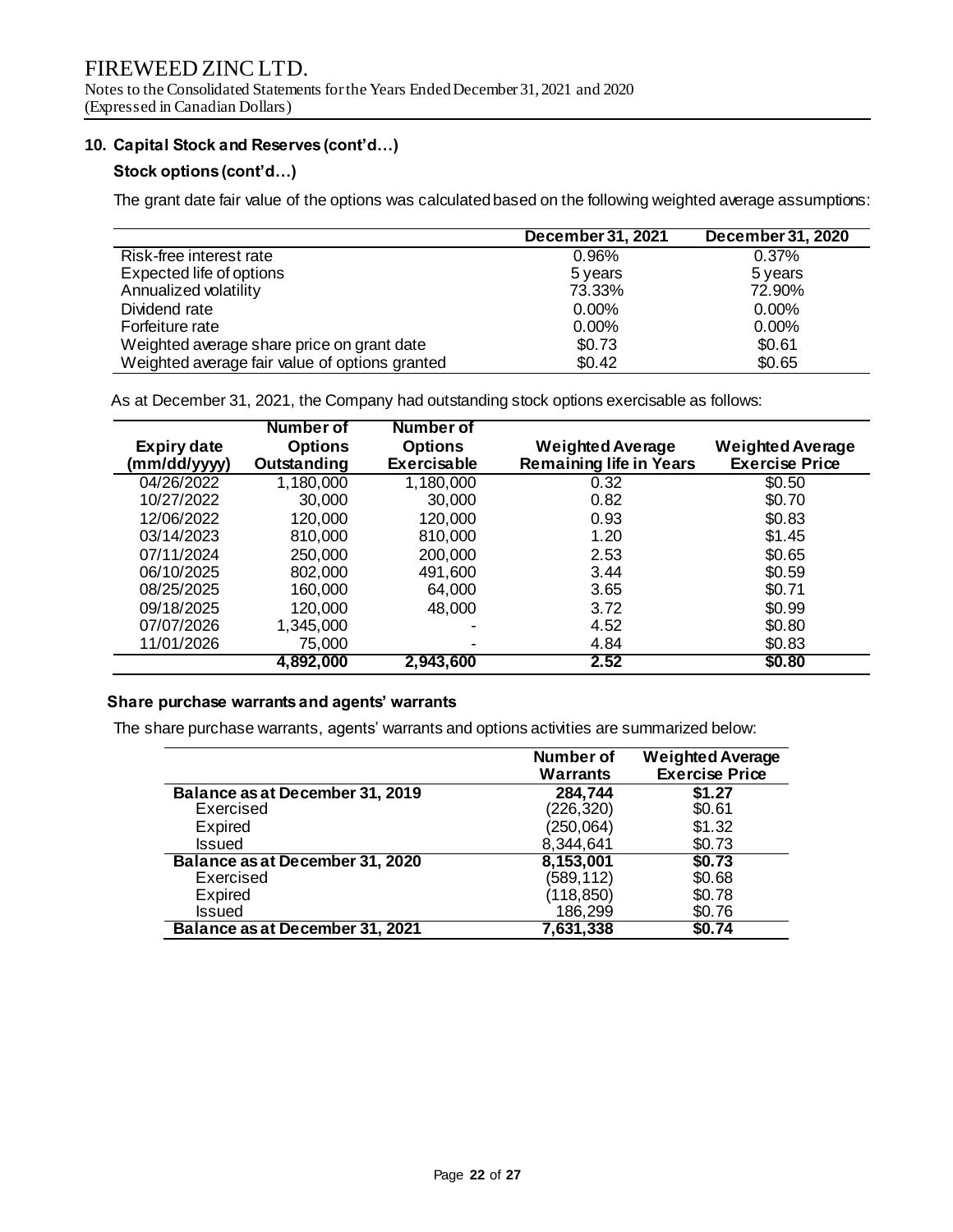# **Stock options (cont'd…)**

The grant date fair value of the options was calculated based on the following weighted average assumptions:

|                                                | December 31, 2021 | <b>December 31, 2020</b> |
|------------------------------------------------|-------------------|--------------------------|
| Risk-free interest rate                        | 0.96%             | 0.37%                    |
| Expected life of options                       | 5 years           | 5 years                  |
| Annualized volatility                          | 73.33%            | 72.90%                   |
| Dividend rate                                  | $0.00\%$          | $0.00\%$                 |
| Forfeiture rate                                | $0.00\%$          | $0.00\%$                 |
| Weighted average share price on grant date     | \$0.73            | \$0.61                   |
| Weighted average fair value of options granted | \$0.42            | \$0.65                   |

As at December 31, 2021, the Company had outstanding stock options exercisable as follows:

|                    | Number of      | Number of          |                                |                         |
|--------------------|----------------|--------------------|--------------------------------|-------------------------|
| <b>Expiry date</b> | <b>Options</b> | <b>Options</b>     | <b>Weighted Average</b>        | <b>Weighted Average</b> |
| (mm/dd/yyyy)       | Outstanding    | <b>Exercisable</b> | <b>Remaining life in Years</b> | <b>Exercise Price</b>   |
| 04/26/2022         | 1,180,000      | 1,180,000          | 0.32                           | \$0.50                  |
| 10/27/2022         | 30,000         | 30,000             | 0.82                           | \$0.70                  |
| 12/06/2022         | 120,000        | 120,000            | 0.93                           | \$0.83                  |
| 03/14/2023         | 810,000        | 810,000            | 1.20                           | \$1.45                  |
| 07/11/2024         | 250,000        | 200,000            | 2.53                           | \$0.65                  |
| 06/10/2025         | 802,000        | 491,600            | 3.44                           | \$0.59                  |
| 08/25/2025         | 160,000        | 64,000             | 3.65                           | \$0.71                  |
| 09/18/2025         | 120,000        | 48,000             | 3.72                           | \$0.99                  |
| 07/07/2026         | 1,345,000      |                    | 4.52                           | \$0.80                  |
| 11/01/2026         | 75,000         |                    | 4.84                           | \$0.83                  |
|                    | 4,892,000      | 2,943,600          | 2.52                           | \$0.80                  |

# **Share purchase warrants and agents' warrants**

The share purchase warrants, agents' warrants and options activities are summarized below:

|                                 | Number of       | <b>Weighted Average</b> |
|---------------------------------|-----------------|-------------------------|
|                                 | <b>Warrants</b> | <b>Exercise Price</b>   |
| Balance as at December 31, 2019 | 284,744         | \$1.27                  |
| Exercised                       | (226, 320)      | \$0.61                  |
| Expired                         | (250, 064)      | \$1.32                  |
| <b>Issued</b>                   | 8,344,641       | \$0.73                  |
| Balance as at December 31, 2020 | 8,153,001       | \$0.73                  |
| Exercised                       | (589,112)       | \$0.68                  |
| Expired                         | (118, 850)      | \$0.78                  |
| <b>Issued</b>                   | 186,299         | \$0.76                  |
| Balance as at December 31, 2021 | 7,631,338       | \$0.74                  |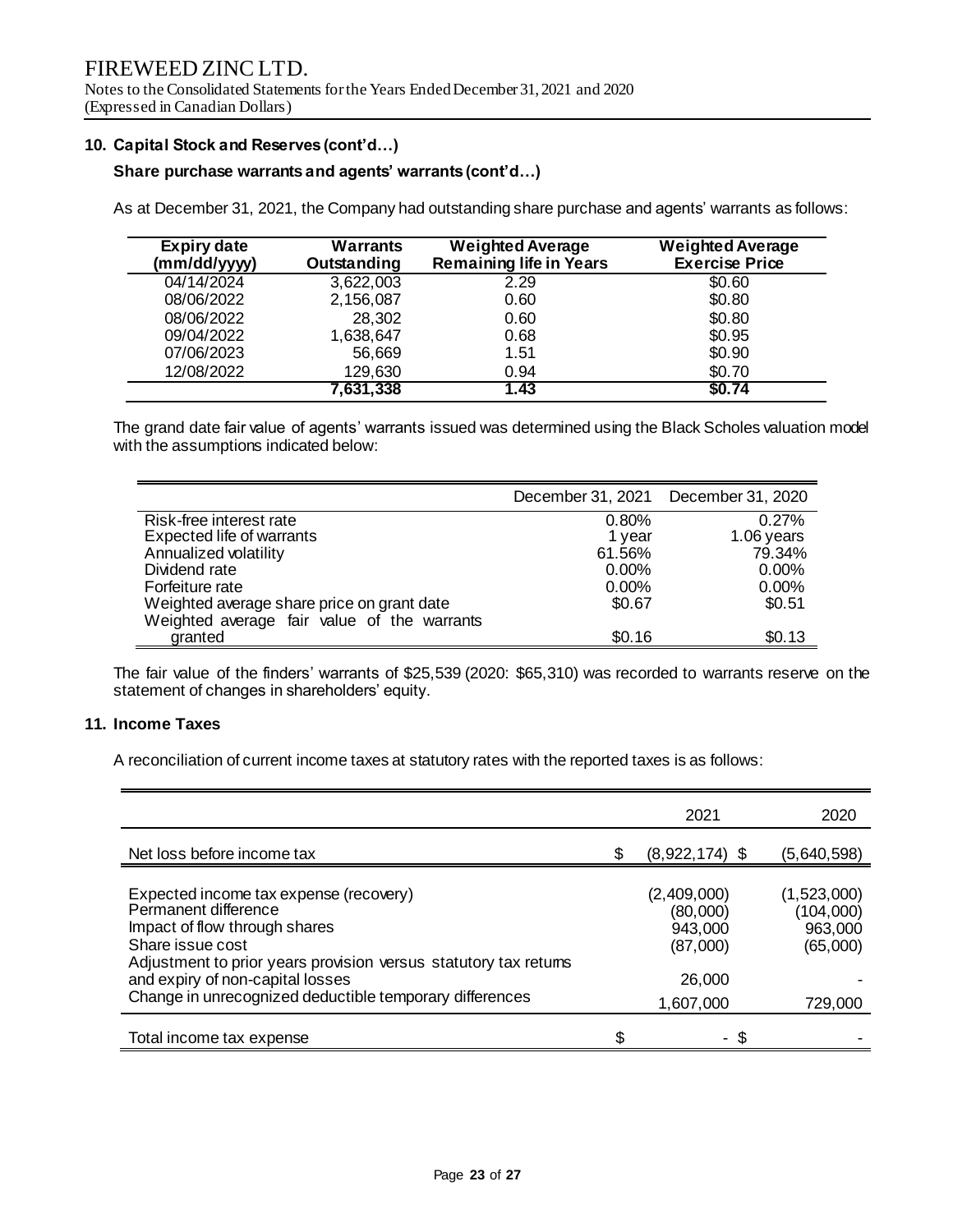# **Share purchase warrants and agents' warrants (cont'd…)**

As at December 31, 2021, the Company had outstanding share purchase and agents' warrants as follows:

| <b>Expiry date</b><br>(mm/dd/yyyy) | <b>Warrants</b><br>Outstanding | <b>Weighted Average</b><br><b>Remaining life in Years</b> | <b>Weighted Average</b><br><b>Exercise Price</b> |
|------------------------------------|--------------------------------|-----------------------------------------------------------|--------------------------------------------------|
| 04/14/2024                         | 3,622,003                      | 2.29                                                      | \$0.60                                           |
| 08/06/2022                         | 2,156,087                      | 0.60                                                      | \$0.80                                           |
| 08/06/2022                         | 28,302                         | 0.60                                                      | \$0.80                                           |
| 09/04/2022                         | 1,638,647                      | 0.68                                                      | \$0.95                                           |
| 07/06/2023                         | 56,669                         | 1.51                                                      | \$0.90                                           |
| 12/08/2022                         | 129,630                        | 0.94                                                      | \$0.70                                           |
|                                    | 7,631,338                      | 1.43                                                      | \$0.74                                           |

The grand date fair value of agents' warrants issued was determined using the Black Scholes valuation model with the assumptions indicated below:

|                                             | December 31, 2021 | December 31, 2020 |
|---------------------------------------------|-------------------|-------------------|
| Risk-free interest rate                     | 0.80%             | 0.27%             |
| Expected life of warrants                   | 1 year            | 1.06 years        |
| Annualized volatility                       | 61.56%            | 79.34%            |
| Dividend rate                               | $0.00\%$          | 0.00%             |
| Forfeiture rate                             | $0.00\%$          | 0.00%             |
| Weighted average share price on grant date  | \$0.67            | \$0.51            |
| Weighted average fair value of the warrants |                   |                   |
| granted                                     | \$0.16            | \$0.13            |

The fair value of the finders' warrants of \$25,539 (2020: \$65,310) was recorded to warrants reserve on the statement of changes in shareholders' equity.

# **11. Income Taxes**

A reconciliation of current income taxes at statutory rates with the reported taxes is as follows:

|                                                                                                                                                                                                                                                                                       | 2021                                                                  | 2020                                                       |
|---------------------------------------------------------------------------------------------------------------------------------------------------------------------------------------------------------------------------------------------------------------------------------------|-----------------------------------------------------------------------|------------------------------------------------------------|
| Net loss before income tax                                                                                                                                                                                                                                                            | $(8,922,174)$ \$                                                      | (5,640,598)                                                |
| Expected income tax expense (recovery)<br>Permanent difference<br>Impact of flow through shares<br>Share issue cost<br>Adjustment to prior years provision versus statutory tax retums<br>and expiry of non-capital losses<br>Change in unrecognized deductible temporary differences | (2,409,000)<br>(80,000)<br>943,000<br>(87,000)<br>26,000<br>1,607,000 | (1,523,000)<br>(104,000)<br>963,000<br>(65,000)<br>729,000 |
| Total income tax expense                                                                                                                                                                                                                                                              | Ξ.                                                                    |                                                            |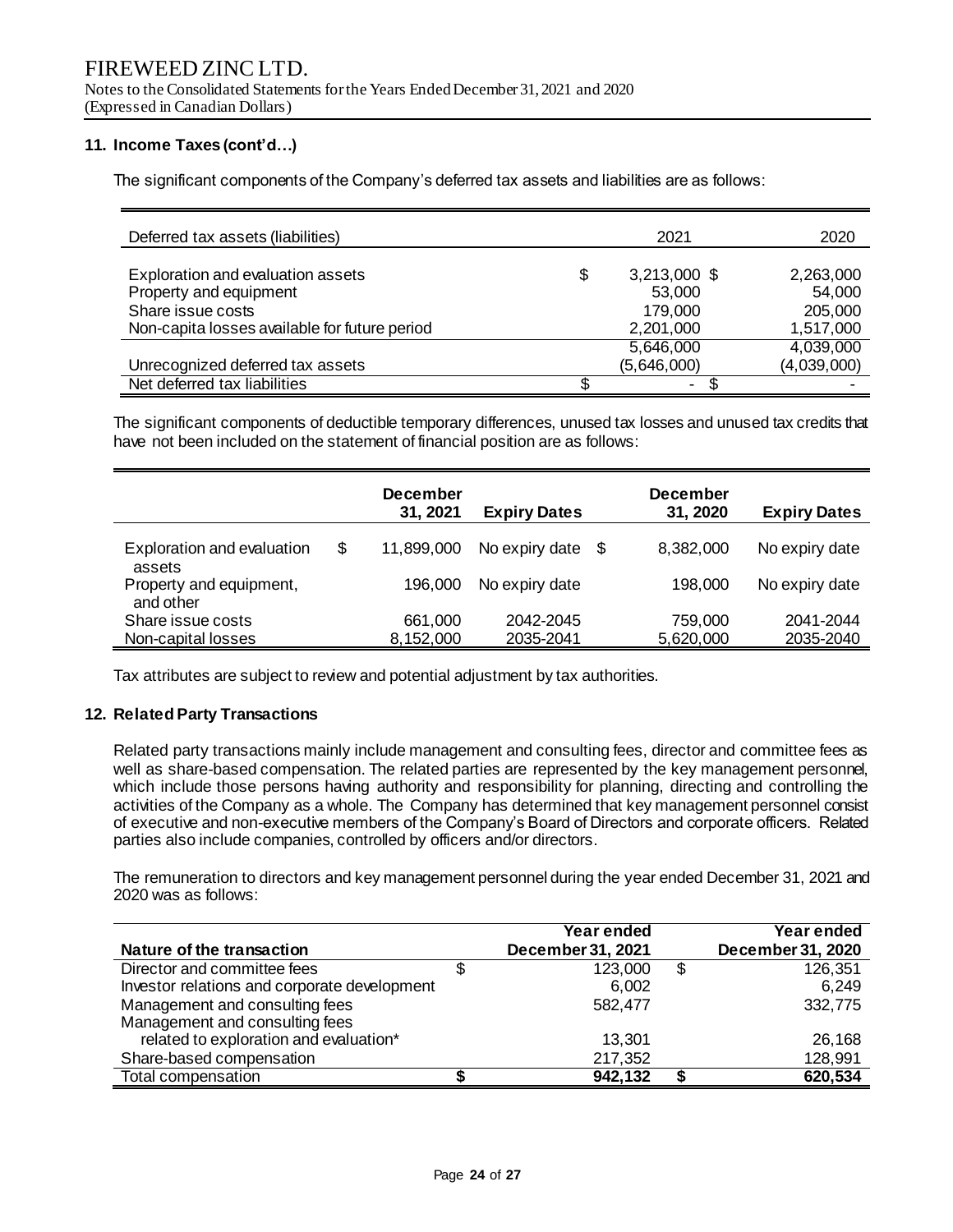# **11. Income Taxes (cont'd…)**

The significant components of the Company's deferred tax assets and liabilities are as follows:

| Deferred tax assets (liabilities)             | 2021               | 2020        |
|-----------------------------------------------|--------------------|-------------|
| Exploration and evaluation assets             | \$<br>3,213,000 \$ | 2,263,000   |
| Property and equipment                        | 53,000             | 54,000      |
| Share issue costs                             | 179,000            | 205,000     |
| Non-capita losses available for future period | 2,201,000          | 1,517,000   |
|                                               | 5,646,000          | 4,039,000   |
| Unrecognized deferred tax assets              | (5,646,000)        | (4,039,000) |
| Net deferred tax liabilities                  | ۰                  |             |

The significant components of deductible temporary differences, unused tax losses and unused tax credits that have not been included on the statement of financial position are as follows:

|                                         | <b>December</b><br>31, 2021 | <b>Expiry Dates</b>    | <b>December</b><br>31, 2020 | <b>Expiry Dates</b>    |
|-----------------------------------------|-----------------------------|------------------------|-----------------------------|------------------------|
| Exploration and evaluation<br>assets    | \$<br>11,899,000            | No expiry date $$$     | 8,382,000                   | No expiry date         |
| Property and equipment,<br>and other    | 196,000                     | No expiry date         | 198,000                     | No expiry date         |
| Share issue costs<br>Non-capital losses | 661,000<br>8,152,000        | 2042-2045<br>2035-2041 | 759,000<br>5,620,000        | 2041-2044<br>2035-2040 |

Tax attributes are subject to review and potential adjustment by tax authorities.

#### **12. Related Party Transactions**

Related party transactions mainly include management and consulting fees, director and committee fees as well as share-based compensation. The related parties are represented by the key management personnel, which include those persons having authority and responsibility for planning, directing and controlling the activities of the Company as a whole. The Company has determined that key management personnel consist of executive and non-executive members of the Company's Board of Directors and corporate officers. Related parties also include companies, controlled by officers and/or directors.

The remuneration to directors and key management personnel during the year ended December 31, 2021 and 2020 was as follows:

|                                              | <b>Year ended</b> | <b>Year ended</b> |
|----------------------------------------------|-------------------|-------------------|
| Nature of the transaction                    | December 31, 2021 | December 31, 2020 |
| Director and committee fees                  | 123,000           | \$<br>126,351     |
| Investor relations and corporate development | 6,002             | 6,249             |
| Management and consulting fees               | 582,477           | 332,775           |
| Management and consulting fees               |                   |                   |
| related to exploration and evaluation*       | 13,301            | 26,168            |
| Share-based compensation                     | 217,352           | 128,991           |
| Total compensation                           | 942,132           | 620,534           |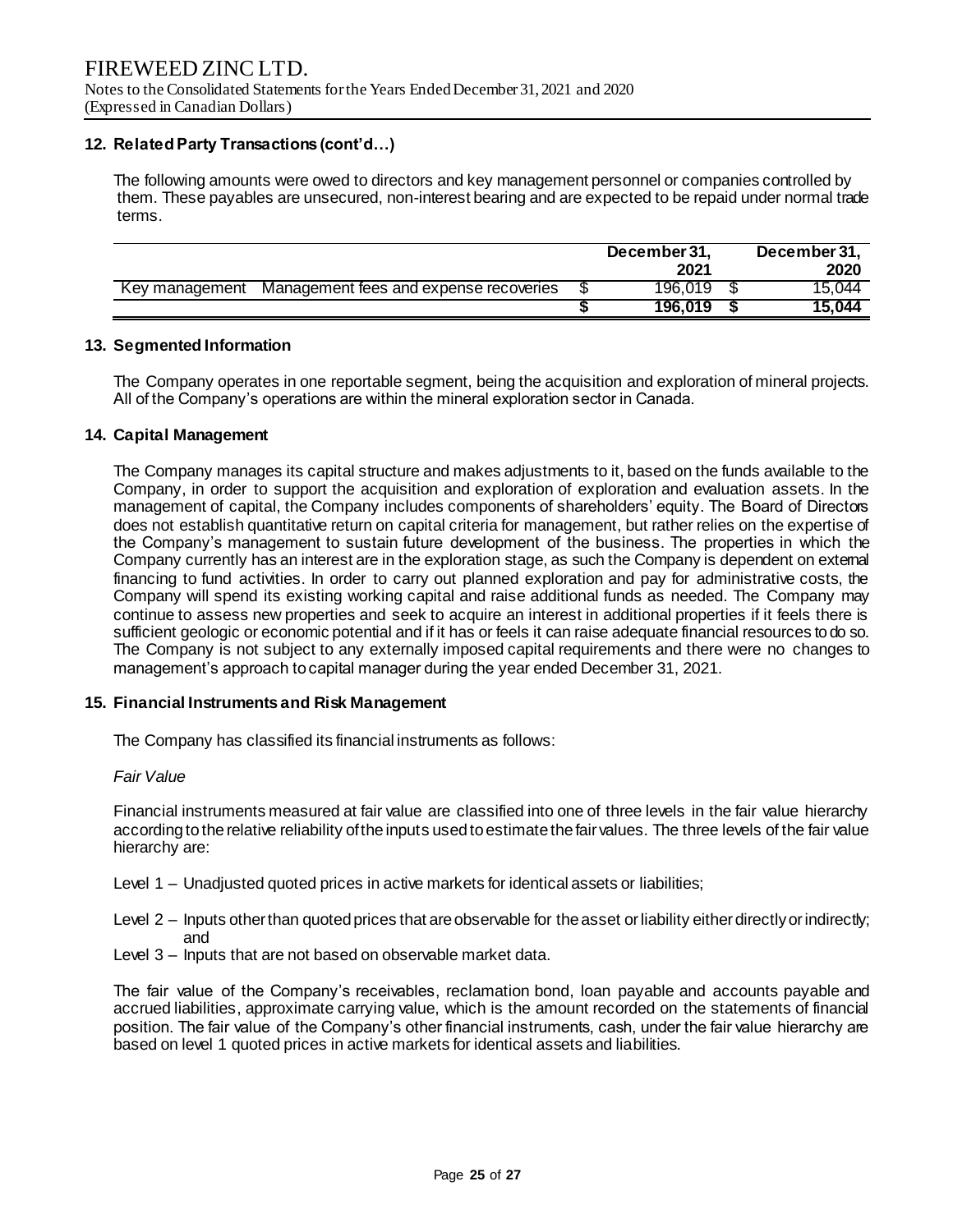#### **12. Related Party Transactions (cont'd…)**

The following amounts were owed to directors and key management personnel or companies controlled by them. These payables are unsecured, non-interest bearing and are expected to be repaid under normal trade terms.

|                |                                        | December 31.<br>2021 | December 31,<br>2020 |
|----------------|----------------------------------------|----------------------|----------------------|
| Kev management | Management fees and expense recoveries | 196.019              | 15,044               |
|                |                                        | 196.019              | 15,044               |

#### **13. Segmented Information**

The Company operates in one reportable segment, being the acquisition and exploration of mineral projects. All of the Company's operations are within the mineral exploration sector in Canada.

#### **14. Capital Management**

The Company manages its capital structure and makes adjustments to it, based on the funds available to the Company, in order to support the acquisition and exploration of exploration and evaluation assets. In the management of capital, the Company includes components of shareholders' equity. The Board of Directors does not establish quantitative return on capital criteria for management, but rather relies on the expertise of the Company's management to sustain future development of the business. The properties in which the Company currently has an interest are in the exploration stage, as such the Company is dependent on external financing to fund activities. In order to carry out planned exploration and pay for administrative costs, the Company will spend its existing working capital and raise additional funds as needed. The Company may continue to assess new properties and seek to acquire an interest in additional properties if it feels there is sufficient geologic or economic potential and if it has or feels it can raise adequate financial resources to do so. The Company is not subject to any externally imposed capital requirements and there were no changes to management's approach to capital manager during the year ended December 31, 2021.

#### **15. Financial Instruments and Risk Management**

The Company has classified its financial instruments as follows:

#### *Fair Value*

Financial instruments measured at fair value are classified into one of three levels in the fair value hierarchy according to the relative reliability of the inputs used to estimate the fair values. The three levels of the fair value hierarchy are:

- Level 1 Unadjusted quoted prices in active markets for identical assets or liabilities;
- Level 2 Inputs other than quoted prices that are observable for the asset or liability either directly or indirectly; and
- Level 3 Inputs that are not based on observable market data.

The fair value of the Company's receivables, reclamation bond, loan payable and accounts payable and accrued liabilities, approximate carrying value, which is the amount recorded on the statements of financial position. The fair value of the Company's other financial instruments, cash, under the fair value hierarchy are based on level 1 quoted prices in active markets for identical assets and liabilities.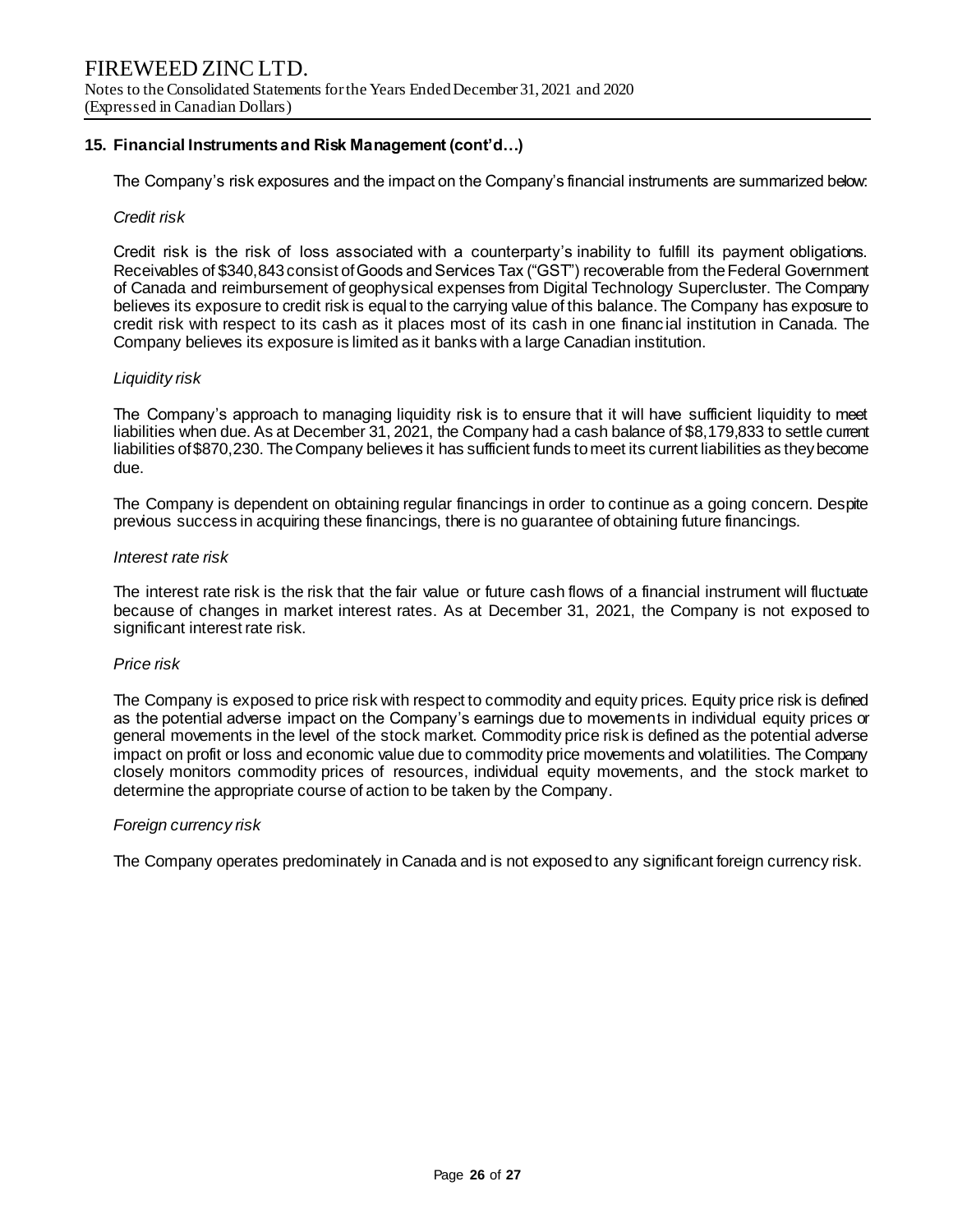# **15. Financial Instruments and Risk Management (cont'd…)**

The Company's risk exposures and the impact on the Company's financial instruments are summarized below:

#### *Credit risk*

Credit risk is the risk of loss associated with a counterparty's inability to fulfill its payment obligations. Receivables of \$340,843consist of Goods and Services Tax ("GST") recoverable from the Federal Government of Canada and reimbursement of geophysical expenses from Digital Technology Supercluster. The Company believes its exposure to credit risk is equal to the carrying value of this balance. The Company has exposure to credit risk with respect to its cash as it places most of its cash in one financ ial institution in Canada. The Company believes its exposure is limited as it banks with a large Canadian institution.

#### *Liquidity risk*

The Company's approach to managing liquidity risk is to ensure that it will have sufficient liquidity to meet liabilities when due. As at December 31, 2021, the Company had a cash balance of \$8,179,833 to settle current liabilities of \$870,230. The Company believes it has sufficient funds to meet its current liabilities as they become due.

The Company is dependent on obtaining regular financings in order to continue as a going concern. Despite previous success in acquiring these financings, there is no guarantee of obtaining future financings.

#### *Interest rate risk*

The interest rate risk is the risk that the fair value or future cash flows of a financial instrument will fluctuate because of changes in market interest rates. As at December 31, 2021, the Company is not exposed to significant interest rate risk.

#### *Price risk*

The Company is exposed to price risk with respect to commodity and equity prices. Equity price risk is defined as the potential adverse impact on the Company's earnings due to movements in individual equity prices or general movements in the level of the stock market. Commodity price risk is defined as the potential adverse impact on profit or loss and economic value due to commodity price movements and volatilities. The Company closely monitors commodity prices of resources, individual equity movements, and the stock market to determine the appropriate course of action to be taken by the Company.

#### *Foreign currency risk*

The Company operates predominately in Canada and is not exposed to any significant foreign currency risk.